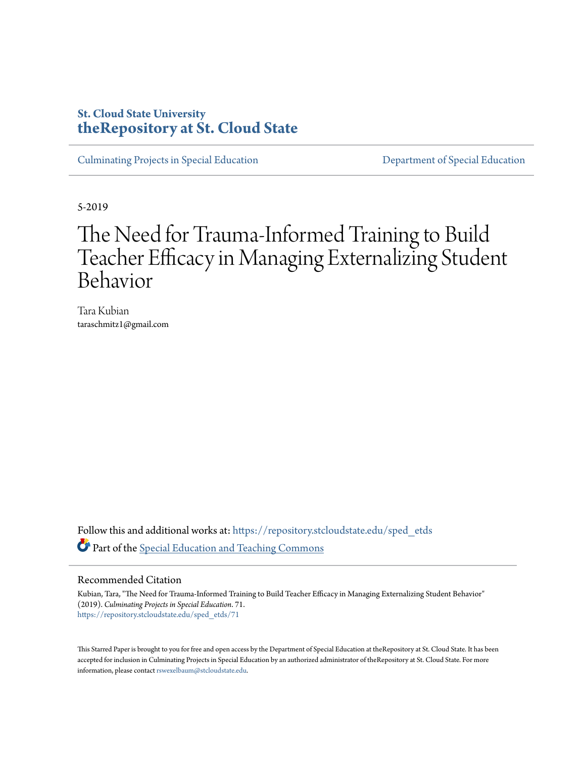# **St. Cloud State University [theRepository at St. Cloud State](https://repository.stcloudstate.edu?utm_source=repository.stcloudstate.edu%2Fsped_etds%2F71&utm_medium=PDF&utm_campaign=PDFCoverPages)**

[Culminating Projects in Special Education](https://repository.stcloudstate.edu/sped_etds?utm_source=repository.stcloudstate.edu%2Fsped_etds%2F71&utm_medium=PDF&utm_campaign=PDFCoverPages) [Department of Special Education](https://repository.stcloudstate.edu/sped?utm_source=repository.stcloudstate.edu%2Fsped_etds%2F71&utm_medium=PDF&utm_campaign=PDFCoverPages)

5-2019

# The Need for Trauma-Informed Training to Build Teacher Efficacy in Managing Externalizing Student Behavior

Tara Kubian taraschmitz1@gmail.com

Follow this and additional works at: [https://repository.stcloudstate.edu/sped\\_etds](https://repository.stcloudstate.edu/sped_etds?utm_source=repository.stcloudstate.edu%2Fsped_etds%2F71&utm_medium=PDF&utm_campaign=PDFCoverPages) Part of the [Special Education and Teaching Commons](http://network.bepress.com/hgg/discipline/801?utm_source=repository.stcloudstate.edu%2Fsped_etds%2F71&utm_medium=PDF&utm_campaign=PDFCoverPages)

#### Recommended Citation

Kubian, Tara, "The Need for Trauma-Informed Training to Build Teacher Efficacy in Managing Externalizing Student Behavior" (2019). *Culminating Projects in Special Education*. 71. [https://repository.stcloudstate.edu/sped\\_etds/71](https://repository.stcloudstate.edu/sped_etds/71?utm_source=repository.stcloudstate.edu%2Fsped_etds%2F71&utm_medium=PDF&utm_campaign=PDFCoverPages)

This Starred Paper is brought to you for free and open access by the Department of Special Education at theRepository at St. Cloud State. It has been accepted for inclusion in Culminating Projects in Special Education by an authorized administrator of theRepository at St. Cloud State. For more information, please contact [rswexelbaum@stcloudstate.edu.](mailto:rswexelbaum@stcloudstate.edu)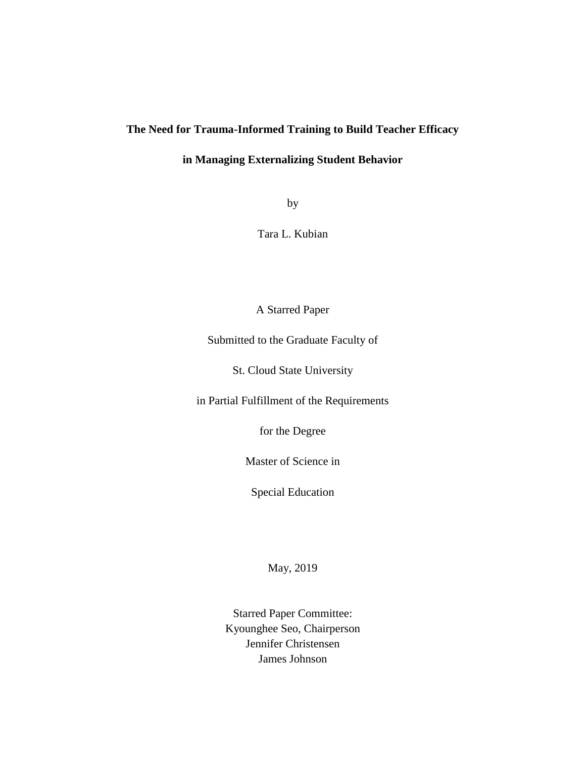## **The Need for Trauma-Informed Training to Build Teacher Efficacy**

## **in Managing Externalizing Student Behavior**

by

Tara L. Kubian

## A Starred Paper

Submitted to the Graduate Faculty of

St. Cloud State University

in Partial Fulfillment of the Requirements

for the Degree

Master of Science in

Special Education

May, 2019

Starred Paper Committee: Kyounghee Seo, Chairperson Jennifer Christensen James Johnson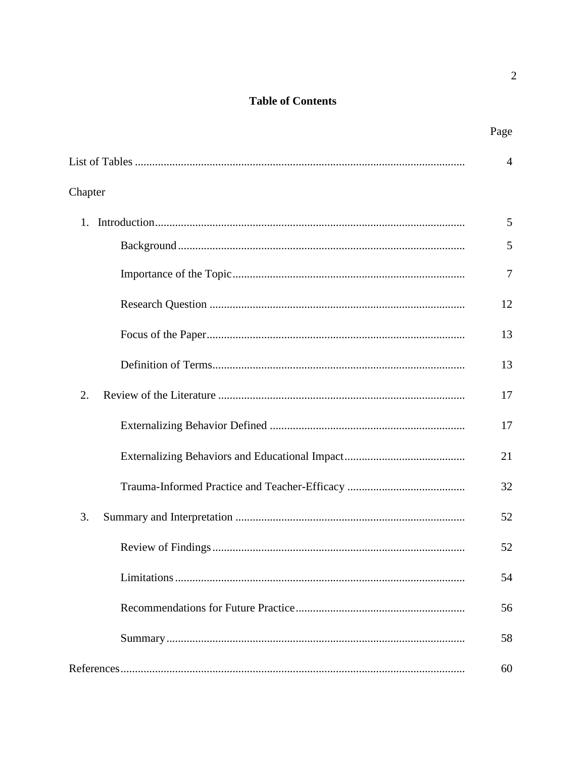## **Table of Contents**

|         | Page |
|---------|------|
|         | 4    |
| Chapter |      |
| $1_{-}$ | 5    |
|         | 5    |
|         | 7    |
|         | 12   |
|         | 13   |
|         | 13   |
| 2.      | 17   |
|         | 17   |
|         | 21   |
|         | 32   |
| 3.      | 52   |
|         | 52   |
|         | 54   |
|         | 56   |
|         | 58   |
|         | 60   |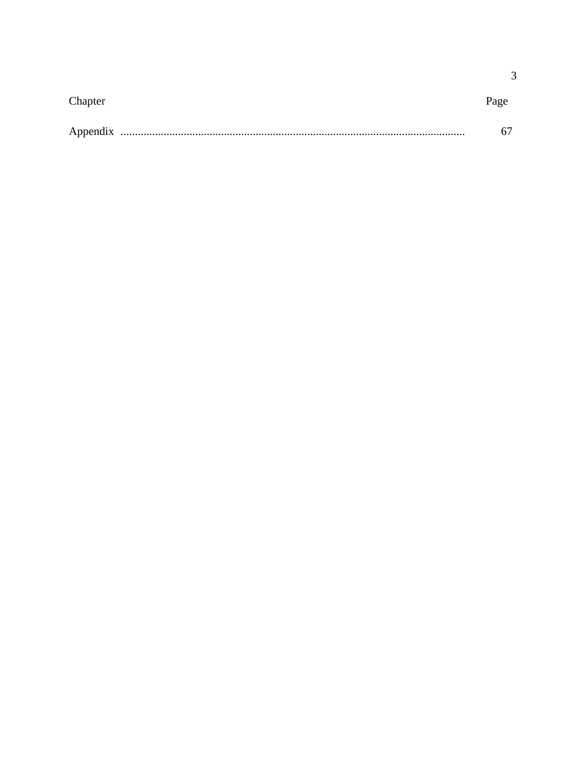| Chapter | Page |
|---------|------|
|         |      |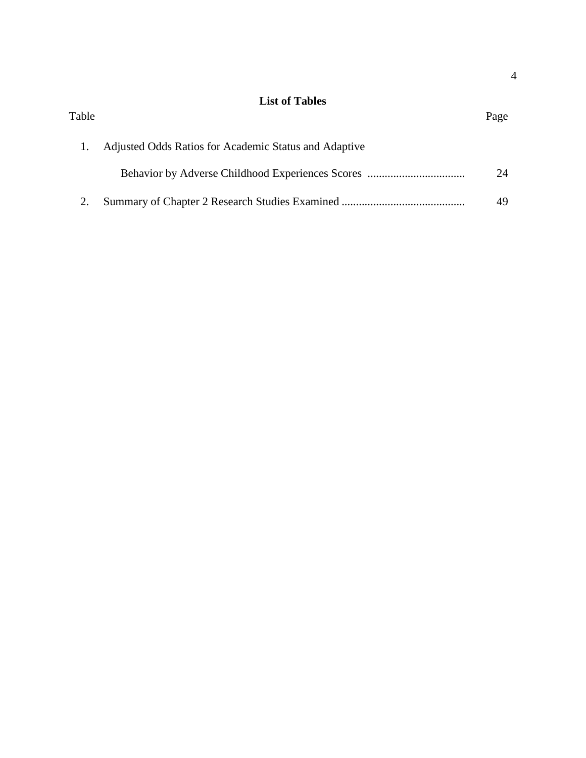# **List of Tables** Table Page

| Adjusted Odds Ratios for Academic Status and Adaptive |    |
|-------------------------------------------------------|----|
|                                                       | 24 |
|                                                       | 49 |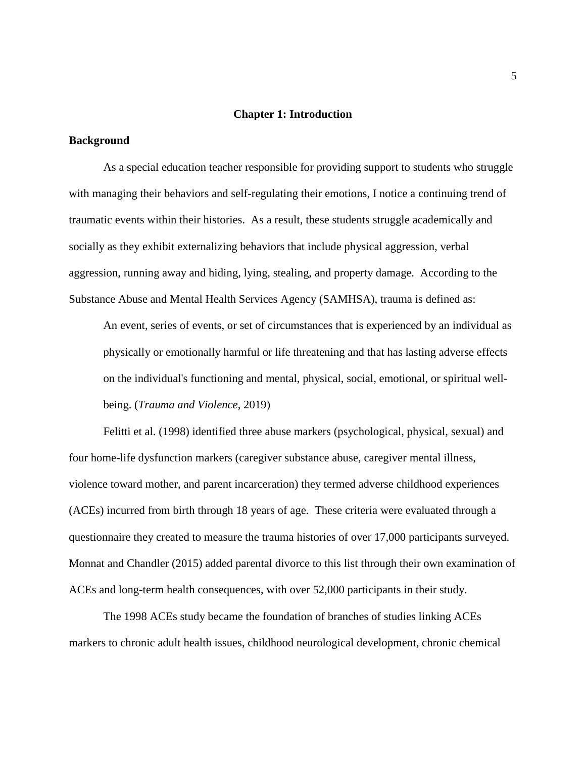#### **Chapter 1: Introduction**

#### **Background**

As a special education teacher responsible for providing support to students who struggle with managing their behaviors and self-regulating their emotions, I notice a continuing trend of traumatic events within their histories. As a result, these students struggle academically and socially as they exhibit externalizing behaviors that include physical aggression, verbal aggression, running away and hiding, lying, stealing, and property damage. According to the Substance Abuse and Mental Health Services Agency (SAMHSA), trauma is defined as:

An event, series of events, or set of circumstances that is experienced by an individual as physically or emotionally harmful or life threatening and that has lasting adverse effects on the individual's functioning and mental, physical, social, emotional, or spiritual wellbeing. (*Trauma and Violence*, 2019)

Felitti et al. (1998) identified three abuse markers (psychological, physical, sexual) and four home-life dysfunction markers (caregiver substance abuse, caregiver mental illness, violence toward mother, and parent incarceration) they termed adverse childhood experiences (ACEs) incurred from birth through 18 years of age. These criteria were evaluated through a questionnaire they created to measure the trauma histories of over 17,000 participants surveyed. Monnat and Chandler (2015) added parental divorce to this list through their own examination of ACEs and long-term health consequences, with over 52,000 participants in their study.

The 1998 ACEs study became the foundation of branches of studies linking ACEs markers to chronic adult health issues, childhood neurological development, chronic chemical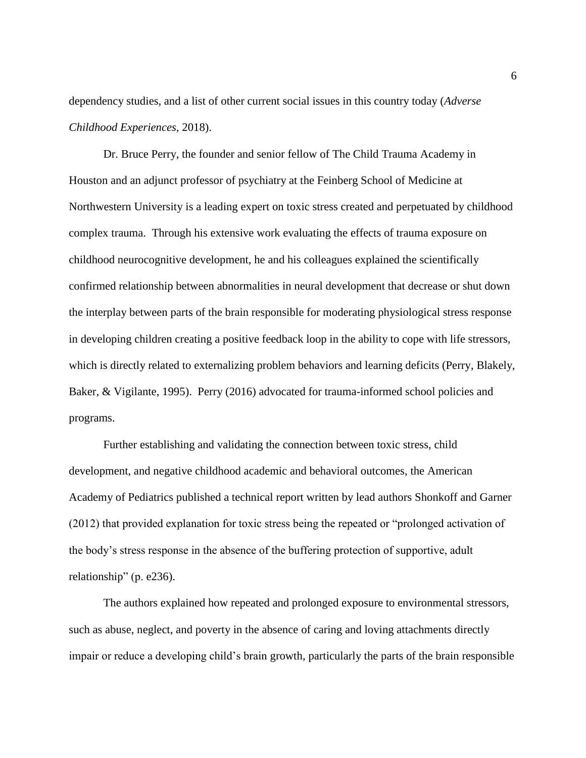dependency studies, and a list of other current social issues in this country today (*Adverse Childhood Experiences,* 2018).

Dr. Bruce Perry, the founder and senior fellow of The Child Trauma Academy in Houston and an adjunct professor of psychiatry at the Feinberg School of Medicine at Northwestern University is a leading expert on toxic stress created and perpetuated by childhood complex trauma. Through his extensive work evaluating the effects of trauma exposure on childhood neurocognitive development, he and his colleagues explained the scientifically confirmed relationship between abnormalities in neural development that decrease or shut down the interplay between parts of the brain responsible for moderating physiological stress response in developing children creating a positive feedback loop in the ability to cope with life stressors, which is directly related to externalizing problem behaviors and learning deficits (Perry, Blakely, Baker, & Vigilante, 1995). Perry (2016) advocated for trauma-informed school policies and programs.

Further establishing and validating the connection between toxic stress, child development, and negative childhood academic and behavioral outcomes, the American Academy of Pediatrics published a technical report written by lead authors Shonkoff and Garner (2012) that provided explanation for toxic stress being the repeated or "prolonged activation of the body's stress response in the absence of the buffering protection of supportive, adult relationship" (p. e236).

The authors explained how repeated and prolonged exposure to environmental stressors, such as abuse, neglect, and poverty in the absence of caring and loving attachments directly impair or reduce a developing child's brain growth, particularly the parts of the brain responsible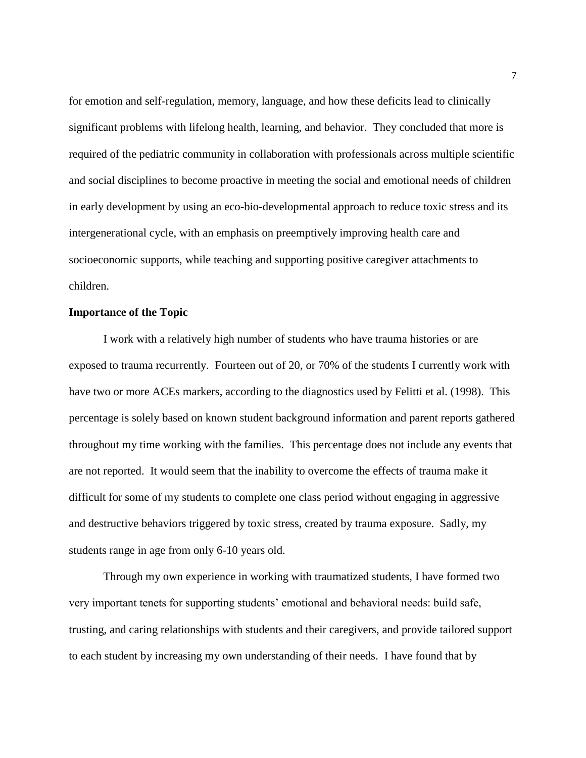for emotion and self-regulation, memory, language, and how these deficits lead to clinically significant problems with lifelong health, learning, and behavior. They concluded that more is required of the pediatric community in collaboration with professionals across multiple scientific and social disciplines to become proactive in meeting the social and emotional needs of children in early development by using an eco-bio-developmental approach to reduce toxic stress and its intergenerational cycle, with an emphasis on preemptively improving health care and socioeconomic supports, while teaching and supporting positive caregiver attachments to children.

#### **Importance of the Topic**

I work with a relatively high number of students who have trauma histories or are exposed to trauma recurrently. Fourteen out of 20, or 70% of the students I currently work with have two or more ACEs markers, according to the diagnostics used by Felitti et al. (1998). This percentage is solely based on known student background information and parent reports gathered throughout my time working with the families. This percentage does not include any events that are not reported. It would seem that the inability to overcome the effects of trauma make it difficult for some of my students to complete one class period without engaging in aggressive and destructive behaviors triggered by toxic stress, created by trauma exposure. Sadly, my students range in age from only 6-10 years old.

Through my own experience in working with traumatized students, I have formed two very important tenets for supporting students' emotional and behavioral needs: build safe, trusting, and caring relationships with students and their caregivers, and provide tailored support to each student by increasing my own understanding of their needs. I have found that by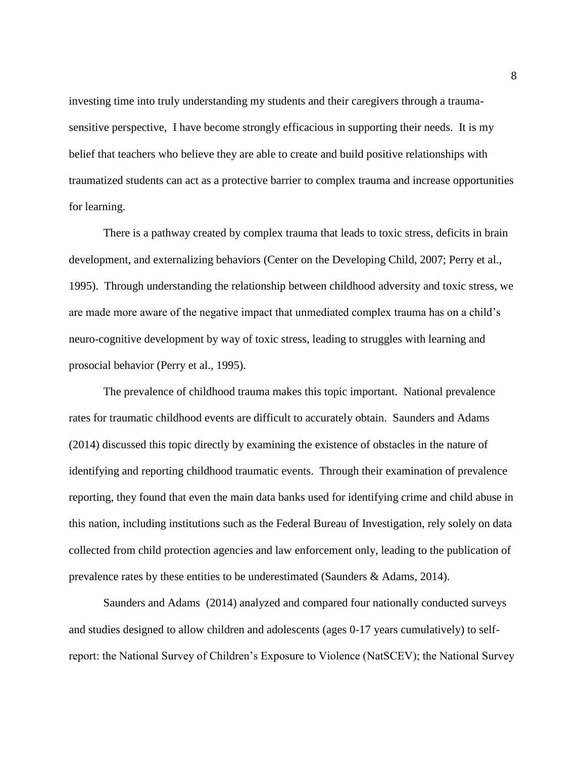investing time into truly understanding my students and their caregivers through a traumasensitive perspective, I have become strongly efficacious in supporting their needs. It is my belief that teachers who believe they are able to create and build positive relationships with traumatized students can act as a protective barrier to complex trauma and increase opportunities for learning.

There is a pathway created by complex trauma that leads to toxic stress, deficits in brain development, and externalizing behaviors (Center on the Developing Child, 2007; Perry et al., 1995). Through understanding the relationship between childhood adversity and toxic stress, we are made more aware of the negative impact that unmediated complex trauma has on a child's neuro-cognitive development by way of toxic stress, leading to struggles with learning and prosocial behavior (Perry et al., 1995).

The prevalence of childhood trauma makes this topic important. National prevalence rates for traumatic childhood events are difficult to accurately obtain. Saunders and Adams (2014) discussed this topic directly by examining the existence of obstacles in the nature of identifying and reporting childhood traumatic events. Through their examination of prevalence reporting, they found that even the main data banks used for identifying crime and child abuse in this nation, including institutions such as the Federal Bureau of Investigation, rely solely on data collected from child protection agencies and law enforcement only, leading to the publication of prevalence rates by these entities to be underestimated (Saunders & Adams, 2014).

Saunders and Adams (2014) analyzed and compared four nationally conducted surveys and studies designed to allow children and adolescents (ages 0-17 years cumulatively) to selfreport: the National Survey of Children's Exposure to Violence (NatSCEV); the National Survey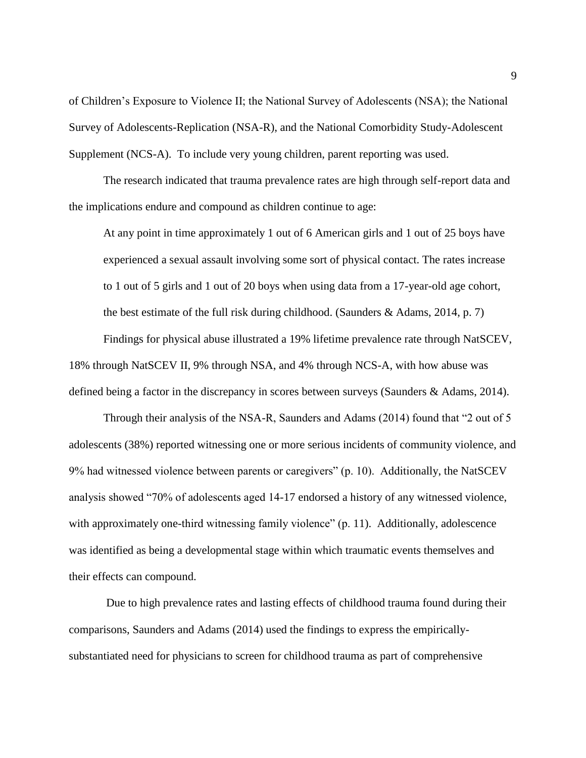of Children's Exposure to Violence II; the National Survey of Adolescents (NSA); the National Survey of Adolescents-Replication (NSA-R), and the National Comorbidity Study-Adolescent Supplement (NCS-A). To include very young children, parent reporting was used.

The research indicated that trauma prevalence rates are high through self-report data and the implications endure and compound as children continue to age:

At any point in time approximately 1 out of 6 American girls and 1 out of 25 boys have experienced a sexual assault involving some sort of physical contact. The rates increase to 1 out of 5 girls and 1 out of 20 boys when using data from a 17-year-old age cohort, the best estimate of the full risk during childhood. (Saunders & Adams, 2014, p. 7)

Findings for physical abuse illustrated a 19% lifetime prevalence rate through NatSCEV, 18% through NatSCEV II, 9% through NSA, and 4% through NCS-A, with how abuse was defined being a factor in the discrepancy in scores between surveys (Saunders & Adams, 2014).

Through their analysis of the NSA-R, Saunders and Adams (2014) found that "2 out of 5 adolescents (38%) reported witnessing one or more serious incidents of community violence, and 9% had witnessed violence between parents or caregivers" (p. 10). Additionally, the NatSCEV analysis showed "70% of adolescents aged 14-17 endorsed a history of any witnessed violence, with approximately one-third witnessing family violence" (p. 11). Additionally, adolescence was identified as being a developmental stage within which traumatic events themselves and their effects can compound.

Due to high prevalence rates and lasting effects of childhood trauma found during their comparisons, Saunders and Adams (2014) used the findings to express the empiricallysubstantiated need for physicians to screen for childhood trauma as part of comprehensive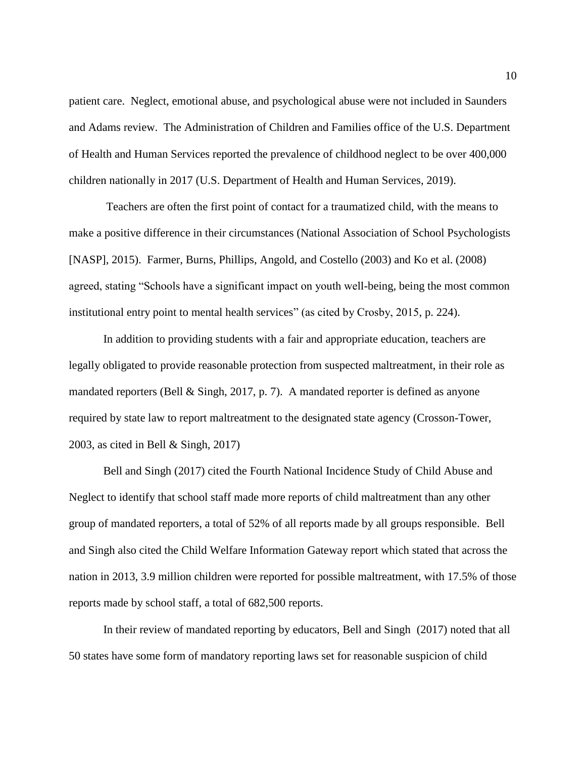patient care. Neglect, emotional abuse, and psychological abuse were not included in Saunders and Adams review. The Administration of Children and Families office of the U.S. Department of Health and Human Services reported the prevalence of childhood neglect to be over 400,000 children nationally in 2017 (U.S. Department of Health and Human Services, 2019).

Teachers are often the first point of contact for a traumatized child, with the means to make a positive difference in their circumstances (National Association of School Psychologists [NASP], 2015). Farmer, Burns, Phillips, Angold, and Costello (2003) and Ko et al. (2008) agreed, stating "Schools have a significant impact on youth well-being, being the most common institutional entry point to mental health services" (as cited by Crosby, 2015, p. 224).

In addition to providing students with a fair and appropriate education, teachers are legally obligated to provide reasonable protection from suspected maltreatment, in their role as mandated reporters (Bell & Singh, 2017, p. 7). A mandated reporter is defined as anyone required by state law to report maltreatment to the designated state agency (Crosson-Tower, 2003, as cited in Bell & Singh, 2017)

Bell and Singh (2017) cited the Fourth National Incidence Study of Child Abuse and Neglect to identify that school staff made more reports of child maltreatment than any other group of mandated reporters, a total of 52% of all reports made by all groups responsible. Bell and Singh also cited the Child Welfare Information Gateway report which stated that across the nation in 2013, 3.9 million children were reported for possible maltreatment, with 17.5% of those reports made by school staff, a total of 682,500 reports.

In their review of mandated reporting by educators, Bell and Singh (2017) noted that all 50 states have some form of mandatory reporting laws set for reasonable suspicion of child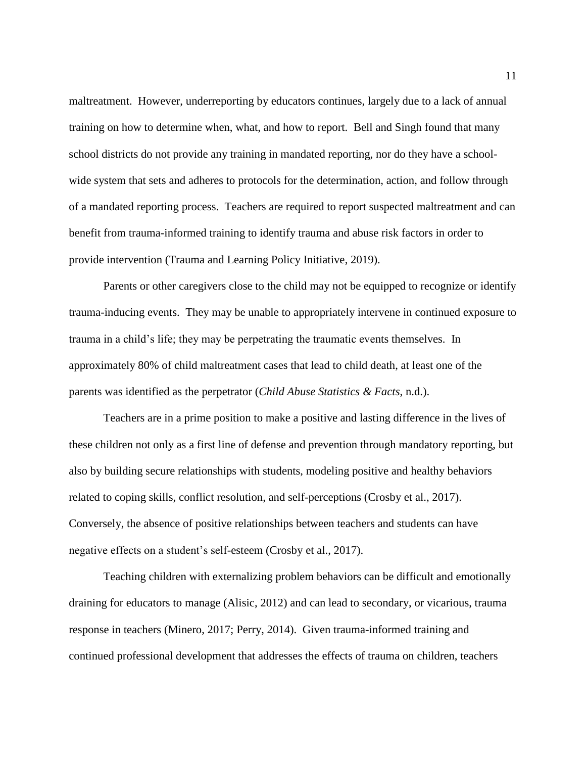maltreatment. However, underreporting by educators continues, largely due to a lack of annual training on how to determine when, what, and how to report. Bell and Singh found that many school districts do not provide any training in mandated reporting, nor do they have a schoolwide system that sets and adheres to protocols for the determination, action, and follow through of a mandated reporting process. Teachers are required to report suspected maltreatment and can benefit from trauma-informed training to identify trauma and abuse risk factors in order to provide intervention (Trauma and Learning Policy Initiative, 2019).

Parents or other caregivers close to the child may not be equipped to recognize or identify trauma-inducing events. They may be unable to appropriately intervene in continued exposure to trauma in a child's life; they may be perpetrating the traumatic events themselves. In approximately 80% of child maltreatment cases that lead to child death, at least one of the parents was identified as the perpetrator (*Child Abuse Statistics & Facts*, n.d.).

Teachers are in a prime position to make a positive and lasting difference in the lives of these children not only as a first line of defense and prevention through mandatory reporting, but also by building secure relationships with students, modeling positive and healthy behaviors related to coping skills, conflict resolution, and self-perceptions (Crosby et al., 2017). Conversely, the absence of positive relationships between teachers and students can have negative effects on a student's self-esteem (Crosby et al., 2017).

Teaching children with externalizing problem behaviors can be difficult and emotionally draining for educators to manage (Alisic, 2012) and can lead to secondary, or vicarious, trauma response in teachers (Minero, 2017; Perry, 2014). Given trauma-informed training and continued professional development that addresses the effects of trauma on children, teachers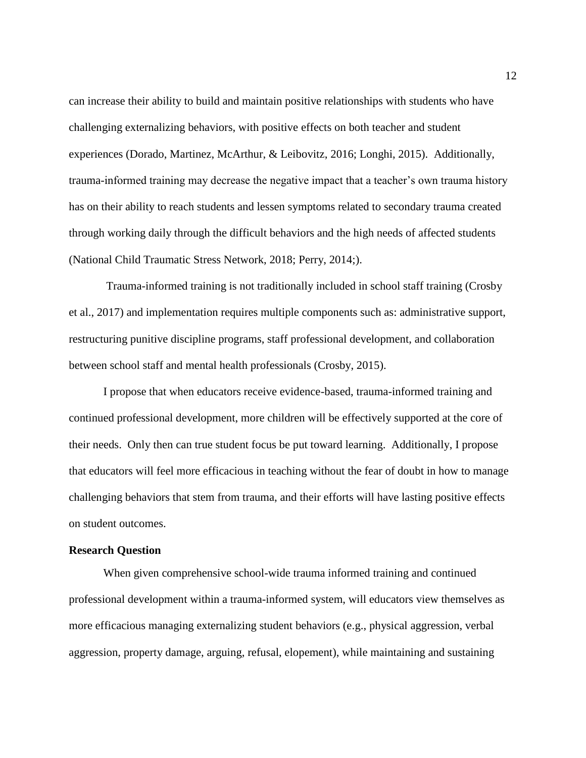can increase their ability to build and maintain positive relationships with students who have challenging externalizing behaviors, with positive effects on both teacher and student experiences (Dorado, Martinez, McArthur, & Leibovitz, 2016; Longhi, 2015). Additionally, trauma-informed training may decrease the negative impact that a teacher's own trauma history has on their ability to reach students and lessen symptoms related to secondary trauma created through working daily through the difficult behaviors and the high needs of affected students (National Child Traumatic Stress Network, 2018; Perry, 2014;).

Trauma-informed training is not traditionally included in school staff training (Crosby et al., 2017) and implementation requires multiple components such as: administrative support, restructuring punitive discipline programs, staff professional development, and collaboration between school staff and mental health professionals (Crosby, 2015).

I propose that when educators receive evidence-based, trauma-informed training and continued professional development, more children will be effectively supported at the core of their needs. Only then can true student focus be put toward learning. Additionally, I propose that educators will feel more efficacious in teaching without the fear of doubt in how to manage challenging behaviors that stem from trauma, and their efforts will have lasting positive effects on student outcomes.

#### **Research Question**

When given comprehensive school-wide trauma informed training and continued professional development within a trauma-informed system, will educators view themselves as more efficacious managing externalizing student behaviors (e.g., physical aggression, verbal aggression, property damage, arguing, refusal, elopement), while maintaining and sustaining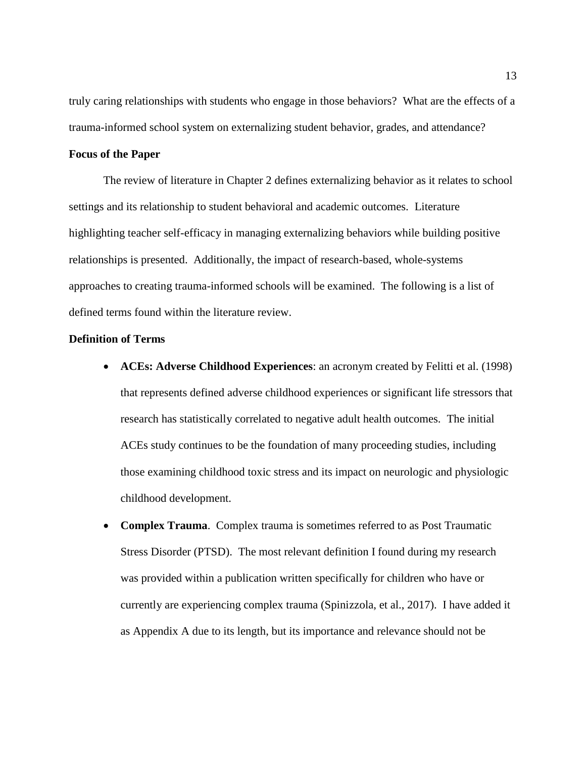truly caring relationships with students who engage in those behaviors? What are the effects of a trauma-informed school system on externalizing student behavior, grades, and attendance?

#### **Focus of the Paper**

The review of literature in Chapter 2 defines externalizing behavior as it relates to school settings and its relationship to student behavioral and academic outcomes. Literature highlighting teacher self-efficacy in managing externalizing behaviors while building positive relationships is presented. Additionally, the impact of research-based, whole-systems approaches to creating trauma-informed schools will be examined. The following is a list of defined terms found within the literature review.

#### **Definition of Terms**

- **ACEs: Adverse Childhood Experiences**: an acronym created by Felitti et al. (1998) that represents defined adverse childhood experiences or significant life stressors that research has statistically correlated to negative adult health outcomes. The initial ACEs study continues to be the foundation of many proceeding studies, including those examining childhood toxic stress and its impact on neurologic and physiologic childhood development.
- **Complex Trauma**. Complex trauma is sometimes referred to as Post Traumatic Stress Disorder (PTSD). The most relevant definition I found during my research was provided within a publication written specifically for children who have or currently are experiencing complex trauma (Spinizzola, et al., 2017). I have added it as Appendix A due to its length, but its importance and relevance should not be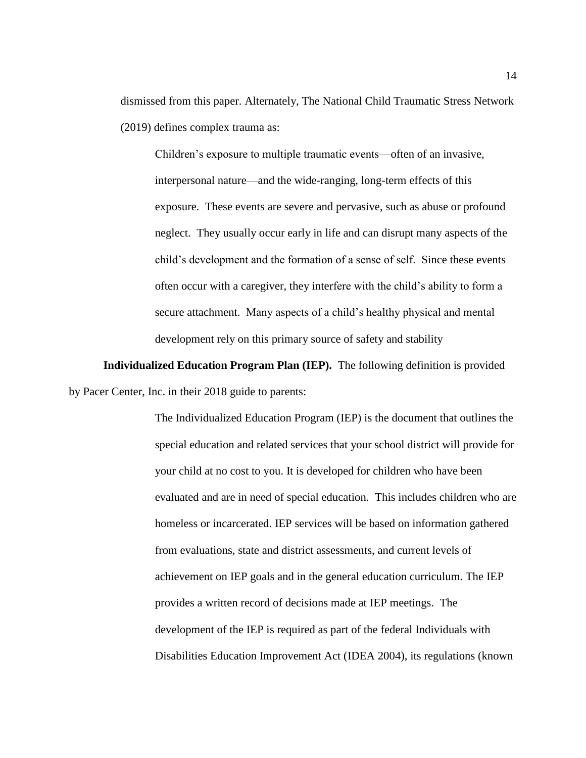dismissed from this paper. Alternately, The National Child Traumatic Stress Network (2019) defines complex trauma as:

Children's exposure to multiple traumatic events—often of an invasive, interpersonal nature—and the wide-ranging, long-term effects of this exposure. These events are severe and pervasive, such as abuse or profound neglect. They usually occur early in life and can disrupt many aspects of the child's development and the formation of a sense of self. Since these events often occur with a caregiver, they interfere with the child's ability to form a secure attachment. Many aspects of a child's healthy physical and mental development rely on this primary source of safety and stability

**Individualized Education Program Plan (IEP).** The following definition is provided by Pacer Center, Inc. in their 2018 guide to parents:

> The Individualized Education Program (IEP) is the document that outlines the special education and related services that your school district will provide for your child at no cost to you. It is developed for children who have been evaluated and are in need of special education. This includes children who are homeless or incarcerated. IEP services will be based on information gathered from evaluations, state and district assessments, and current levels of achievement on IEP goals and in the general education curriculum. The IEP provides a written record of decisions made at IEP meetings. The development of the IEP is required as part of the federal Individuals with Disabilities Education Improvement Act (IDEA 2004), its regulations (known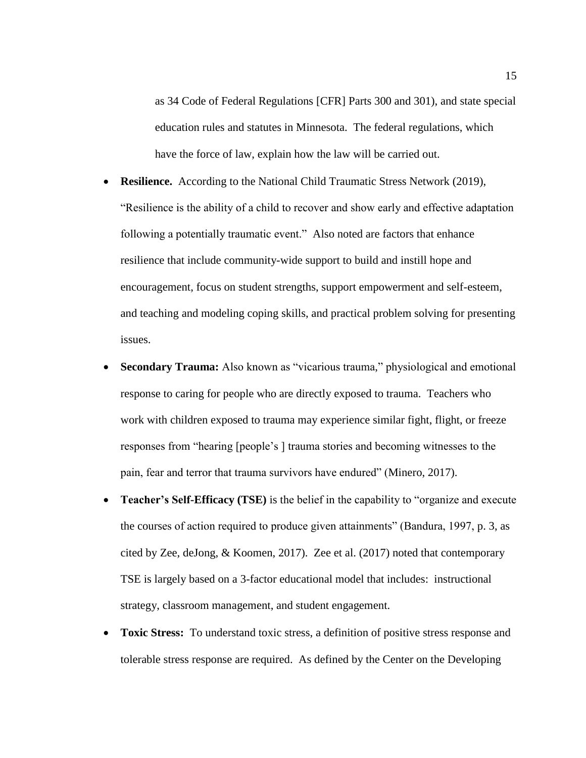as 34 Code of Federal Regulations [CFR] Parts 300 and 301), and state special education rules and statutes in Minnesota. The federal regulations, which have the force of law, explain how the law will be carried out.

- **Resilience.** According to the National Child Traumatic Stress Network (2019), "Resilience is the ability of a child to recover and show early and effective adaptation following a potentially traumatic event." Also noted are factors that enhance resilience that include community-wide support to build and instill hope and encouragement, focus on student strengths, support empowerment and self-esteem, and teaching and modeling coping skills, and practical problem solving for presenting issues.
- **Secondary Trauma:** Also known as "vicarious trauma," physiological and emotional response to caring for people who are directly exposed to trauma. Teachers who work with children exposed to trauma may experience similar fight, flight, or freeze responses from "hearing [people's ] trauma stories and becoming witnesses to the pain, fear and terror that trauma survivors have endured" (Minero, 2017).
- **Teacher's Self-Efficacy (TSE)** is the belief in the capability to "organize and execute the courses of action required to produce given attainments" (Bandura, 1997, p. 3, as cited by Zee, deJong, & Koomen, 2017). Zee et al. (2017) noted that contemporary TSE is largely based on a 3-factor educational model that includes: instructional strategy, classroom management, and student engagement.
- **Toxic Stress:** To understand toxic stress, a definition of positive stress response and tolerable stress response are required. As defined by the Center on the Developing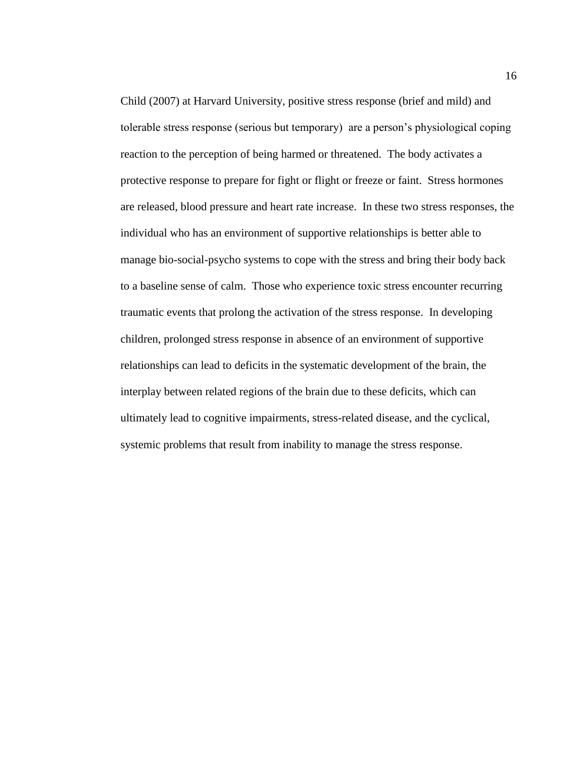Child (2007) at Harvard University, positive stress response (brief and mild) and tolerable stress response (serious but temporary) are a person's physiological coping reaction to the perception of being harmed or threatened. The body activates a protective response to prepare for fight or flight or freeze or faint. Stress hormones are released, blood pressure and heart rate increase. In these two stress responses, the individual who has an environment of supportive relationships is better able to manage bio-social-psycho systems to cope with the stress and bring their body back to a baseline sense of calm. Those who experience toxic stress encounter recurring traumatic events that prolong the activation of the stress response. In developing children, prolonged stress response in absence of an environment of supportive relationships can lead to deficits in the systematic development of the brain, the interplay between related regions of the brain due to these deficits, which can ultimately lead to cognitive impairments, stress-related disease, and the cyclical, systemic problems that result from inability to manage the stress response.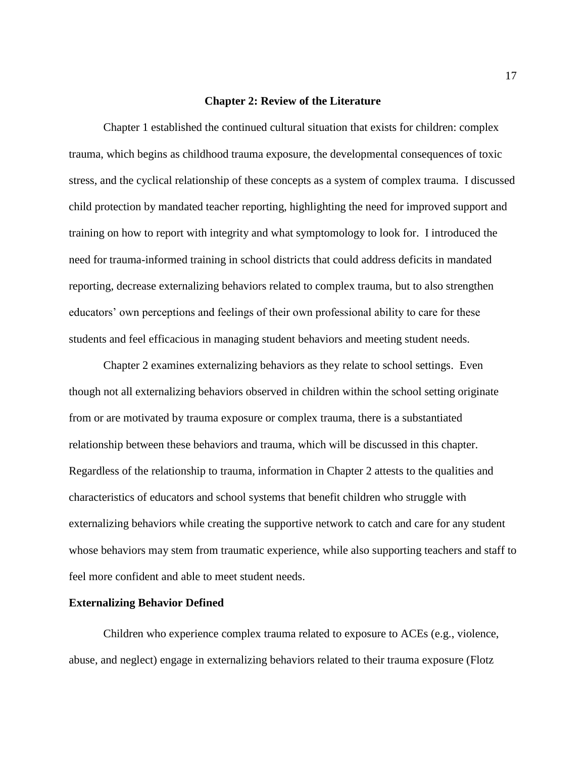#### **Chapter 2: Review of the Literature**

Chapter 1 established the continued cultural situation that exists for children: complex trauma, which begins as childhood trauma exposure, the developmental consequences of toxic stress, and the cyclical relationship of these concepts as a system of complex trauma. I discussed child protection by mandated teacher reporting, highlighting the need for improved support and training on how to report with integrity and what symptomology to look for. I introduced the need for trauma-informed training in school districts that could address deficits in mandated reporting, decrease externalizing behaviors related to complex trauma, but to also strengthen educators' own perceptions and feelings of their own professional ability to care for these students and feel efficacious in managing student behaviors and meeting student needs.

Chapter 2 examines externalizing behaviors as they relate to school settings. Even though not all externalizing behaviors observed in children within the school setting originate from or are motivated by trauma exposure or complex trauma, there is a substantiated relationship between these behaviors and trauma, which will be discussed in this chapter. Regardless of the relationship to trauma, information in Chapter 2 attests to the qualities and characteristics of educators and school systems that benefit children who struggle with externalizing behaviors while creating the supportive network to catch and care for any student whose behaviors may stem from traumatic experience, while also supporting teachers and staff to feel more confident and able to meet student needs.

#### **Externalizing Behavior Defined**

Children who experience complex trauma related to exposure to ACEs (e.g., violence, abuse, and neglect) engage in externalizing behaviors related to their trauma exposure (Flotz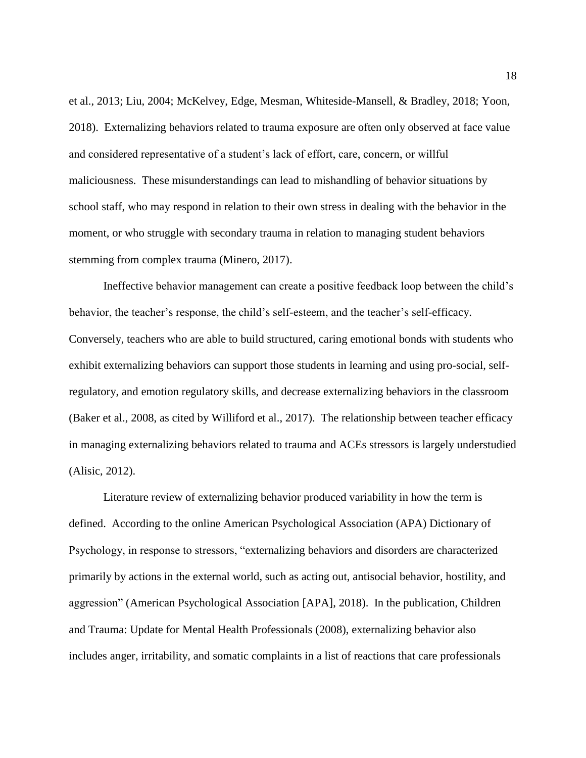et al., 2013; Liu, 2004; McKelvey, Edge, Mesman, Whiteside-Mansell, & Bradley, 2018; Yoon, 2018). Externalizing behaviors related to trauma exposure are often only observed at face value and considered representative of a student's lack of effort, care, concern, or willful maliciousness. These misunderstandings can lead to mishandling of behavior situations by school staff, who may respond in relation to their own stress in dealing with the behavior in the moment, or who struggle with secondary trauma in relation to managing student behaviors stemming from complex trauma (Minero, 2017).

Ineffective behavior management can create a positive feedback loop between the child's behavior, the teacher's response, the child's self-esteem, and the teacher's self-efficacy. Conversely, teachers who are able to build structured, caring emotional bonds with students who exhibit externalizing behaviors can support those students in learning and using pro-social, selfregulatory, and emotion regulatory skills, and decrease externalizing behaviors in the classroom (Baker et al., 2008, as cited by Williford et al., 2017). The relationship between teacher efficacy in managing externalizing behaviors related to trauma and ACEs stressors is largely understudied (Alisic, 2012).

Literature review of externalizing behavior produced variability in how the term is defined. According to the online American Psychological Association (APA) Dictionary of Psychology, in response to stressors, "externalizing behaviors and disorders are characterized primarily by actions in the external world, such as acting out, antisocial behavior, hostility, and aggression" (American Psychological Association [APA], 2018). In the publication, Children and Trauma: Update for Mental Health Professionals (2008), externalizing behavior also includes anger, irritability, and somatic complaints in a list of reactions that care professionals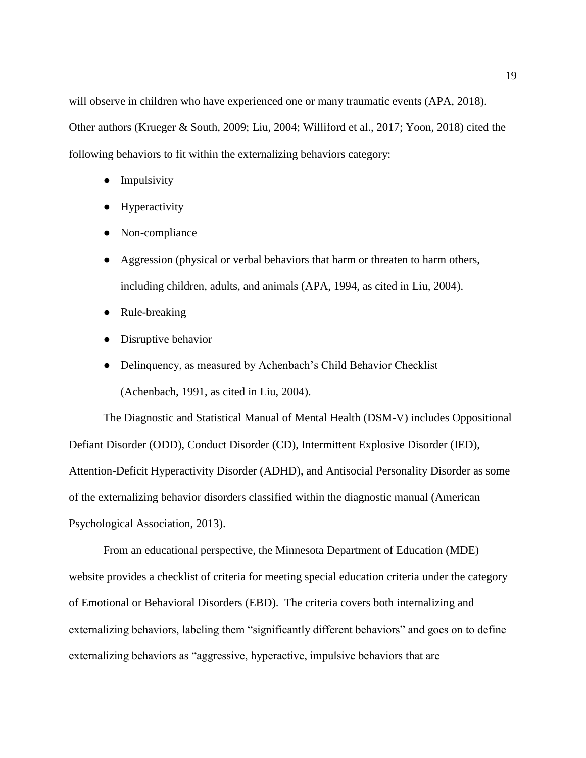will observe in children who have experienced one or many traumatic events (APA, 2018). Other authors (Krueger & South, 2009; Liu, 2004; Williford et al., 2017; Yoon, 2018) cited the following behaviors to fit within the externalizing behaviors category:

- Impulsivity
- Hyperactivity
- Non-compliance
- Aggression (physical or verbal behaviors that harm or threaten to harm others, including children, adults, and animals (APA, 1994, as cited in Liu, 2004).
- Rule-breaking
- Disruptive behavior
- Delinquency, as measured by Achenbach's Child Behavior Checklist (Achenbach, 1991, as cited in Liu, 2004).

The Diagnostic and Statistical Manual of Mental Health (DSM-V) includes Oppositional Defiant Disorder (ODD), Conduct Disorder (CD), Intermittent Explosive Disorder (IED), Attention-Deficit Hyperactivity Disorder (ADHD), and Antisocial Personality Disorder as some of the externalizing behavior disorders classified within the diagnostic manual (American Psychological Association, 2013).

From an educational perspective, the Minnesota Department of Education (MDE) website provides a checklist of criteria for meeting special education criteria under the category of Emotional or Behavioral Disorders (EBD). The criteria covers both internalizing and externalizing behaviors, labeling them "significantly different behaviors" and goes on to define externalizing behaviors as "aggressive, hyperactive, impulsive behaviors that are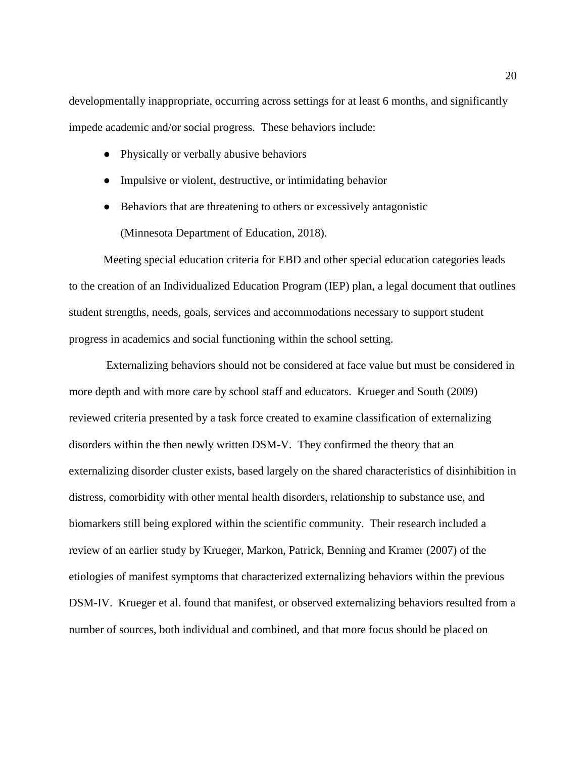developmentally inappropriate, occurring across settings for at least 6 months, and significantly impede academic and/or social progress. These behaviors include:

- Physically or verbally abusive behaviors
- Impulsive or violent, destructive, or intimidating behavior
- Behaviors that are threatening to others or excessively antagonistic (Minnesota Department of Education, 2018).

Meeting special education criteria for EBD and other special education categories leads to the creation of an Individualized Education Program (IEP) plan, a legal document that outlines student strengths, needs, goals, services and accommodations necessary to support student progress in academics and social functioning within the school setting.

Externalizing behaviors should not be considered at face value but must be considered in more depth and with more care by school staff and educators. Krueger and South (2009) reviewed criteria presented by a task force created to examine classification of externalizing disorders within the then newly written DSM-V. They confirmed the theory that an externalizing disorder cluster exists, based largely on the shared characteristics of disinhibition in distress, comorbidity with other mental health disorders, relationship to substance use, and biomarkers still being explored within the scientific community. Their research included a review of an earlier study by Krueger, Markon, Patrick, Benning and Kramer (2007) of the etiologies of manifest symptoms that characterized externalizing behaviors within the previous DSM-IV. Krueger et al. found that manifest, or observed externalizing behaviors resulted from a number of sources, both individual and combined, and that more focus should be placed on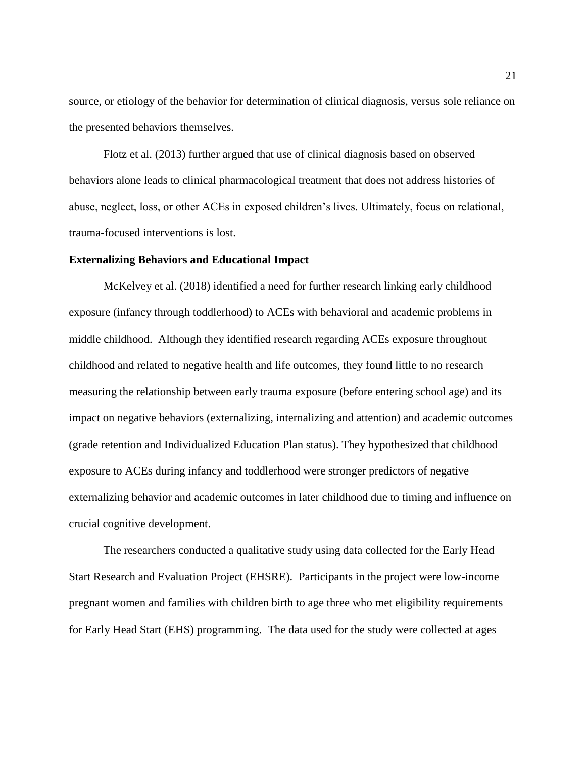source, or etiology of the behavior for determination of clinical diagnosis, versus sole reliance on the presented behaviors themselves.

Flotz et al. (2013) further argued that use of clinical diagnosis based on observed behaviors alone leads to clinical pharmacological treatment that does not address histories of abuse, neglect, loss, or other ACEs in exposed children's lives. Ultimately, focus on relational, trauma-focused interventions is lost.

#### **Externalizing Behaviors and Educational Impact**

McKelvey et al. (2018) identified a need for further research linking early childhood exposure (infancy through toddlerhood) to ACEs with behavioral and academic problems in middle childhood. Although they identified research regarding ACEs exposure throughout childhood and related to negative health and life outcomes, they found little to no research measuring the relationship between early trauma exposure (before entering school age) and its impact on negative behaviors (externalizing, internalizing and attention) and academic outcomes (grade retention and Individualized Education Plan status). They hypothesized that childhood exposure to ACEs during infancy and toddlerhood were stronger predictors of negative externalizing behavior and academic outcomes in later childhood due to timing and influence on crucial cognitive development.

The researchers conducted a qualitative study using data collected for the Early Head Start Research and Evaluation Project (EHSRE). Participants in the project were low-income pregnant women and families with children birth to age three who met eligibility requirements for Early Head Start (EHS) programming. The data used for the study were collected at ages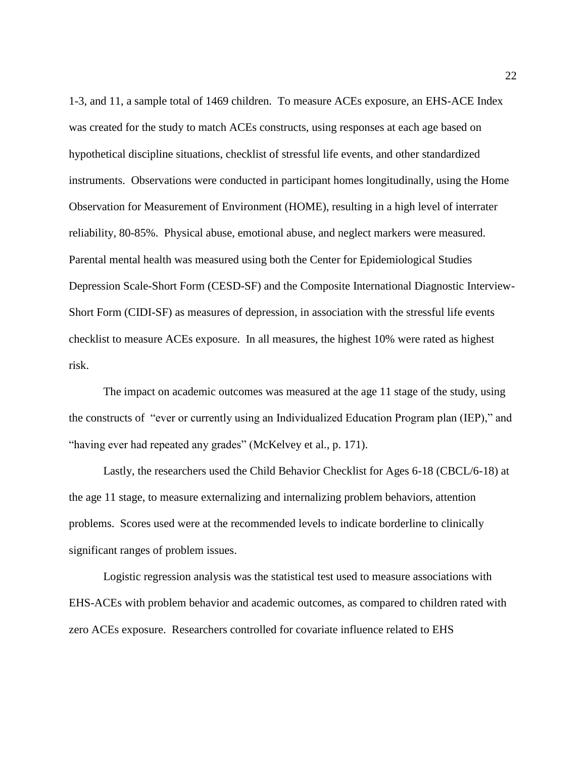1-3, and 11, a sample total of 1469 children. To measure ACEs exposure, an EHS-ACE Index was created for the study to match ACEs constructs, using responses at each age based on hypothetical discipline situations, checklist of stressful life events, and other standardized instruments. Observations were conducted in participant homes longitudinally, using the Home Observation for Measurement of Environment (HOME), resulting in a high level of interrater reliability, 80-85%. Physical abuse, emotional abuse, and neglect markers were measured. Parental mental health was measured using both the Center for Epidemiological Studies Depression Scale-Short Form (CESD-SF) and the Composite International Diagnostic Interview-Short Form (CIDI-SF) as measures of depression, in association with the stressful life events checklist to measure ACEs exposure. In all measures, the highest 10% were rated as highest risk.

The impact on academic outcomes was measured at the age 11 stage of the study, using the constructs of "ever or currently using an Individualized Education Program plan (IEP)," and "having ever had repeated any grades" (McKelvey et al., p. 171).

Lastly, the researchers used the Child Behavior Checklist for Ages 6-18 (CBCL/6-18) at the age 11 stage, to measure externalizing and internalizing problem behaviors, attention problems. Scores used were at the recommended levels to indicate borderline to clinically significant ranges of problem issues.

Logistic regression analysis was the statistical test used to measure associations with EHS-ACEs with problem behavior and academic outcomes, as compared to children rated with zero ACEs exposure. Researchers controlled for covariate influence related to EHS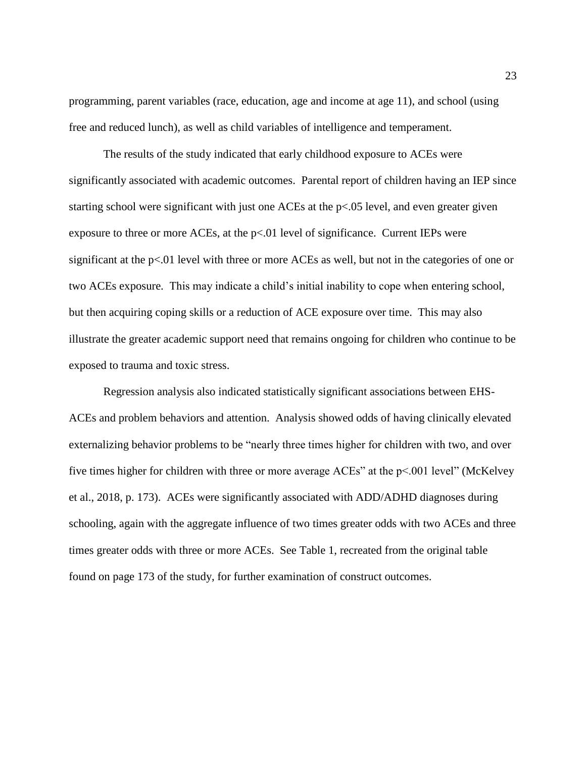programming, parent variables (race, education, age and income at age 11), and school (using free and reduced lunch), as well as child variables of intelligence and temperament.

The results of the study indicated that early childhood exposure to ACEs were significantly associated with academic outcomes. Parental report of children having an IEP since starting school were significant with just one ACEs at the p<.05 level, and even greater given exposure to three or more ACEs, at the  $p<01$  level of significance. Current IEPs were significant at the p<.01 level with three or more ACEs as well, but not in the categories of one or two ACEs exposure. This may indicate a child's initial inability to cope when entering school, but then acquiring coping skills or a reduction of ACE exposure over time. This may also illustrate the greater academic support need that remains ongoing for children who continue to be exposed to trauma and toxic stress.

Regression analysis also indicated statistically significant associations between EHS-ACEs and problem behaviors and attention. Analysis showed odds of having clinically elevated externalizing behavior problems to be "nearly three times higher for children with two, and over five times higher for children with three or more average ACEs" at the p<.001 level" (McKelvey et al., 2018, p. 173). ACEs were significantly associated with ADD/ADHD diagnoses during schooling, again with the aggregate influence of two times greater odds with two ACEs and three times greater odds with three or more ACEs. See Table 1, recreated from the original table found on page 173 of the study, for further examination of construct outcomes.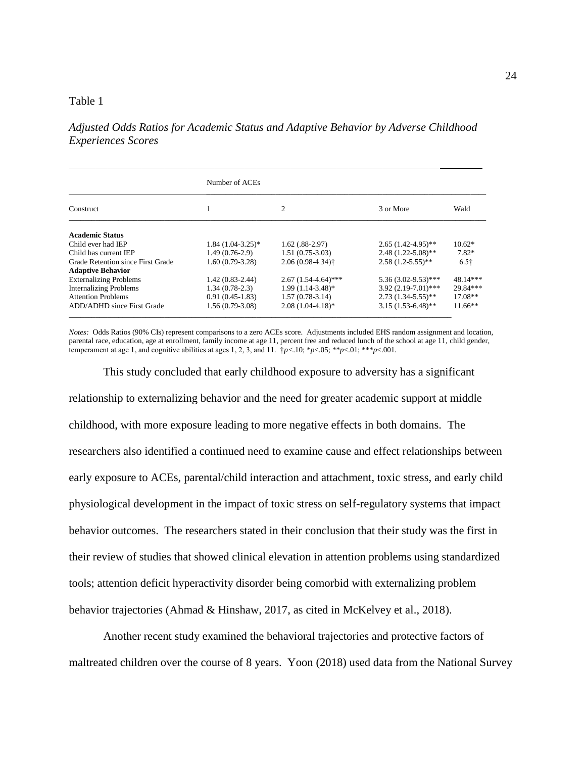#### Table 1

*Adjusted Odds Ratios for Academic Status and Adaptive Behavior by Adverse Childhood Experiences Scores*

|                                   | Number of ACEs        |                       |                        |              |
|-----------------------------------|-----------------------|-----------------------|------------------------|--------------|
| Construct                         |                       | 2                     | 3 or More              | Wald         |
| <b>Academic Status</b>            |                       |                       |                        |              |
| Child ever had IEP                | $1.84(1.04-3.25)^{*}$ | $1.62$ (.88-2.97)     | $2.65(1.42 - 4.95)$ ** | $10.62*$     |
| Child has current IEP             | $1.49(0.76-2.9)$      | $1.51(0.75-3.03)$     | $2.48(1.22 - 5.08)$ ** | $7.82*$      |
| Grade Retention since First Grade | $1.60(0.79-3.28)$     | $2.06(0.98-4.34)$ †   | $2.58(1.2-5.55)$ **    | $6.5\dagger$ |
| <b>Adaptive Behavior</b>          |                       |                       |                        |              |
| <b>Externalizing Problems</b>     | $1.42(0.83-2.44)$     | $2.67(1.54-4.64)$ *** | $5.36(3.02-9.53)$ ***  | 48.14***     |
| <b>Internalizing Problems</b>     | $1.34(0.78-2.3)$      | $1.99(1.14-3.48)$ *   | $3.92(2.19-7.01)$ ***  | 29.84***     |
| <b>Attention Problems</b>         | $0.91(0.45-1.83)$     | $1.57(0.78-3.14)$     | $2.73(1.34-5.55)**$    | $17.08**$    |
| ADD/ADHD since First Grade        | $1.56(0.79-3.08)$     | $2.08(1.04-4.18)$ *   | $3.15(1.53-6.48)$ **   | $11.66**$    |

*Notes:* Odds Ratios (90% CIs) represent comparisons to a zero ACEs score. Adjustments included EHS random assignment and location, parental race, education, age at enrollment, family income at age 11, percent free and reduced lunch of the school at age 11, child gender, temperament at age 1, and cognitive abilities at ages 1, 2, 3, and 11.  $\frac{4}{3}p < .10$ ; \**p*<.05; \*\**p*<.01; \*\*\**p*<.001.

This study concluded that early childhood exposure to adversity has a significant relationship to externalizing behavior and the need for greater academic support at middle childhood, with more exposure leading to more negative effects in both domains. The researchers also identified a continued need to examine cause and effect relationships between early exposure to ACEs, parental/child interaction and attachment, toxic stress, and early child physiological development in the impact of toxic stress on self-regulatory systems that impact behavior outcomes. The researchers stated in their conclusion that their study was the first in their review of studies that showed clinical elevation in attention problems using standardized tools; attention deficit hyperactivity disorder being comorbid with externalizing problem behavior trajectories (Ahmad & Hinshaw, 2017, as cited in McKelvey et al., 2018).

Another recent study examined the behavioral trajectories and protective factors of maltreated children over the course of 8 years. Yoon (2018) used data from the National Survey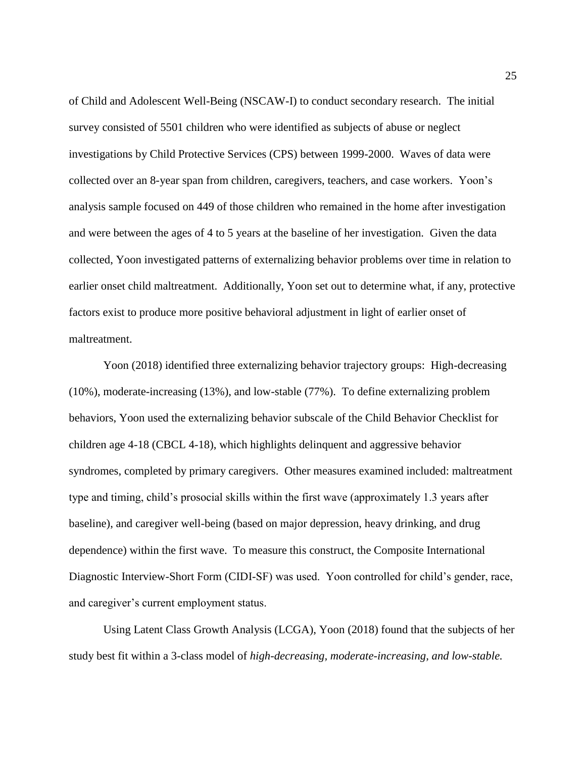of Child and Adolescent Well-Being (NSCAW-I) to conduct secondary research. The initial survey consisted of 5501 children who were identified as subjects of abuse or neglect investigations by Child Protective Services (CPS) between 1999-2000. Waves of data were collected over an 8-year span from children, caregivers, teachers, and case workers. Yoon's analysis sample focused on 449 of those children who remained in the home after investigation and were between the ages of 4 to 5 years at the baseline of her investigation. Given the data collected, Yoon investigated patterns of externalizing behavior problems over time in relation to earlier onset child maltreatment. Additionally, Yoon set out to determine what, if any, protective factors exist to produce more positive behavioral adjustment in light of earlier onset of maltreatment.

Yoon (2018) identified three externalizing behavior trajectory groups: High-decreasing (10%), moderate-increasing (13%), and low-stable (77%). To define externalizing problem behaviors, Yoon used the externalizing behavior subscale of the Child Behavior Checklist for children age 4-18 (CBCL 4-18), which highlights delinquent and aggressive behavior syndromes, completed by primary caregivers. Other measures examined included: maltreatment type and timing, child's prosocial skills within the first wave (approximately 1.3 years after baseline), and caregiver well-being (based on major depression, heavy drinking, and drug dependence) within the first wave. To measure this construct, the Composite International Diagnostic Interview-Short Form (CIDI-SF) was used. Yoon controlled for child's gender, race, and caregiver's current employment status.

Using Latent Class Growth Analysis (LCGA), Yoon (2018) found that the subjects of her study best fit within a 3-class model of *high-decreasing, moderate-increasing, and low-stable.*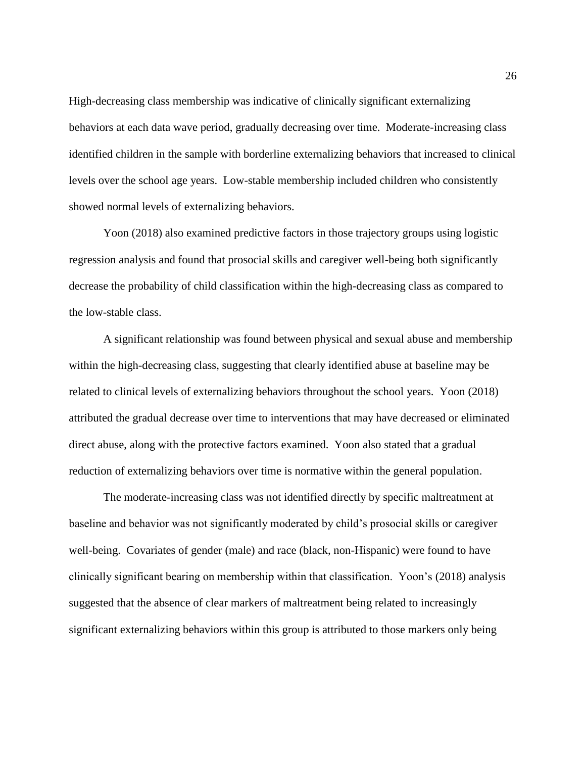High-decreasing class membership was indicative of clinically significant externalizing behaviors at each data wave period, gradually decreasing over time. Moderate-increasing class identified children in the sample with borderline externalizing behaviors that increased to clinical levels over the school age years. Low-stable membership included children who consistently showed normal levels of externalizing behaviors.

Yoon (2018) also examined predictive factors in those trajectory groups using logistic regression analysis and found that prosocial skills and caregiver well-being both significantly decrease the probability of child classification within the high-decreasing class as compared to the low-stable class.

A significant relationship was found between physical and sexual abuse and membership within the high-decreasing class, suggesting that clearly identified abuse at baseline may be related to clinical levels of externalizing behaviors throughout the school years. Yoon (2018) attributed the gradual decrease over time to interventions that may have decreased or eliminated direct abuse, along with the protective factors examined. Yoon also stated that a gradual reduction of externalizing behaviors over time is normative within the general population.

The moderate-increasing class was not identified directly by specific maltreatment at baseline and behavior was not significantly moderated by child's prosocial skills or caregiver well-being. Covariates of gender (male) and race (black, non-Hispanic) were found to have clinically significant bearing on membership within that classification. Yoon's (2018) analysis suggested that the absence of clear markers of maltreatment being related to increasingly significant externalizing behaviors within this group is attributed to those markers only being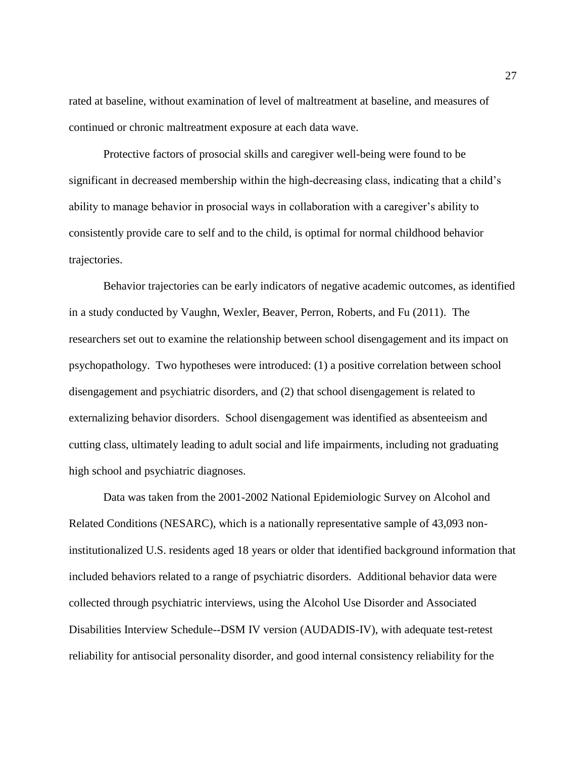rated at baseline, without examination of level of maltreatment at baseline, and measures of continued or chronic maltreatment exposure at each data wave.

Protective factors of prosocial skills and caregiver well-being were found to be significant in decreased membership within the high-decreasing class, indicating that a child's ability to manage behavior in prosocial ways in collaboration with a caregiver's ability to consistently provide care to self and to the child, is optimal for normal childhood behavior trajectories.

Behavior trajectories can be early indicators of negative academic outcomes, as identified in a study conducted by Vaughn, Wexler, Beaver, Perron, Roberts, and Fu (2011). The researchers set out to examine the relationship between school disengagement and its impact on psychopathology. Two hypotheses were introduced: (1) a positive correlation between school disengagement and psychiatric disorders, and (2) that school disengagement is related to externalizing behavior disorders. School disengagement was identified as absenteeism and cutting class, ultimately leading to adult social and life impairments, including not graduating high school and psychiatric diagnoses.

Data was taken from the 2001-2002 National Epidemiologic Survey on Alcohol and Related Conditions (NESARC), which is a nationally representative sample of 43,093 noninstitutionalized U.S. residents aged 18 years or older that identified background information that included behaviors related to a range of psychiatric disorders. Additional behavior data were collected through psychiatric interviews, using the Alcohol Use Disorder and Associated Disabilities Interview Schedule--DSM IV version (AUDADIS-IV), with adequate test-retest reliability for antisocial personality disorder, and good internal consistency reliability for the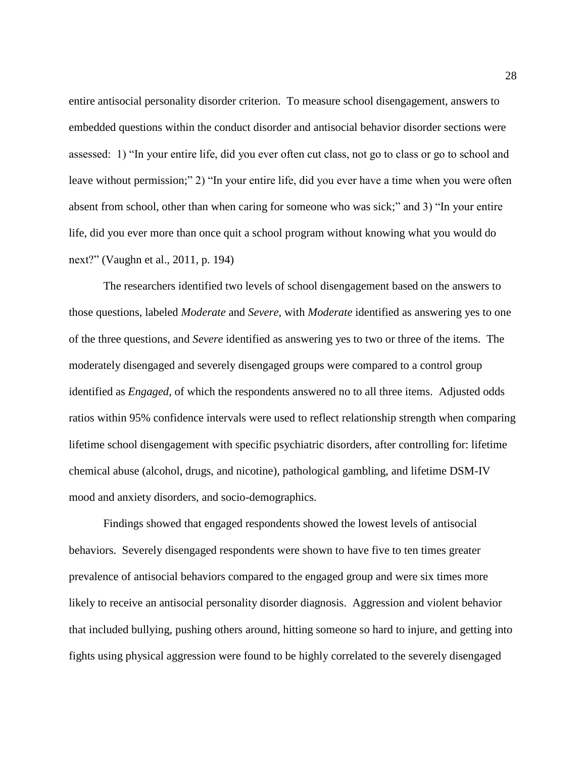entire antisocial personality disorder criterion. To measure school disengagement, answers to embedded questions within the conduct disorder and antisocial behavior disorder sections were assessed: 1) "In your entire life, did you ever often cut class, not go to class or go to school and leave without permission;" 2) "In your entire life, did you ever have a time when you were often absent from school, other than when caring for someone who was sick;" and 3) "In your entire life, did you ever more than once quit a school program without knowing what you would do next?" (Vaughn et al., 2011, p. 194)

The researchers identified two levels of school disengagement based on the answers to those questions, labeled *Moderate* and *Severe*, with *Moderate* identified as answering yes to one of the three questions, and *Severe* identified as answering yes to two or three of the items. The moderately disengaged and severely disengaged groups were compared to a control group identified as *Engaged*, of which the respondents answered no to all three items. Adjusted odds ratios within 95% confidence intervals were used to reflect relationship strength when comparing lifetime school disengagement with specific psychiatric disorders, after controlling for: lifetime chemical abuse (alcohol, drugs, and nicotine), pathological gambling, and lifetime DSM-IV mood and anxiety disorders, and socio-demographics.

Findings showed that engaged respondents showed the lowest levels of antisocial behaviors. Severely disengaged respondents were shown to have five to ten times greater prevalence of antisocial behaviors compared to the engaged group and were six times more likely to receive an antisocial personality disorder diagnosis. Aggression and violent behavior that included bullying, pushing others around, hitting someone so hard to injure, and getting into fights using physical aggression were found to be highly correlated to the severely disengaged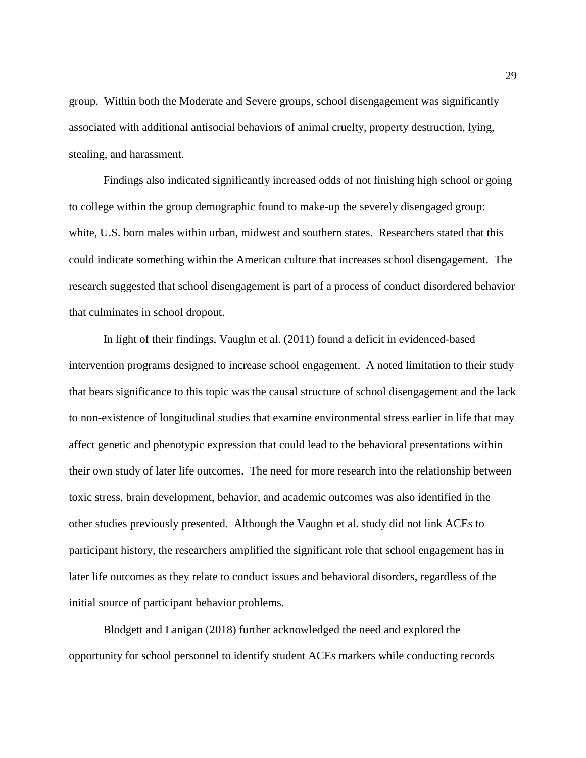group. Within both the Moderate and Severe groups, school disengagement was significantly associated with additional antisocial behaviors of animal cruelty, property destruction, lying, stealing, and harassment.

Findings also indicated significantly increased odds of not finishing high school or going to college within the group demographic found to make-up the severely disengaged group: white, U.S. born males within urban, midwest and southern states. Researchers stated that this could indicate something within the American culture that increases school disengagement. The research suggested that school disengagement is part of a process of conduct disordered behavior that culminates in school dropout.

In light of their findings, Vaughn et al. (2011) found a deficit in evidenced-based intervention programs designed to increase school engagement. A noted limitation to their study that bears significance to this topic was the causal structure of school disengagement and the lack to non-existence of longitudinal studies that examine environmental stress earlier in life that may affect genetic and phenotypic expression that could lead to the behavioral presentations within their own study of later life outcomes. The need for more research into the relationship between toxic stress, brain development, behavior, and academic outcomes was also identified in the other studies previously presented. Although the Vaughn et al. study did not link ACEs to participant history, the researchers amplified the significant role that school engagement has in later life outcomes as they relate to conduct issues and behavioral disorders, regardless of the initial source of participant behavior problems.

Blodgett and Lanigan (2018) further acknowledged the need and explored the opportunity for school personnel to identify student ACEs markers while conducting records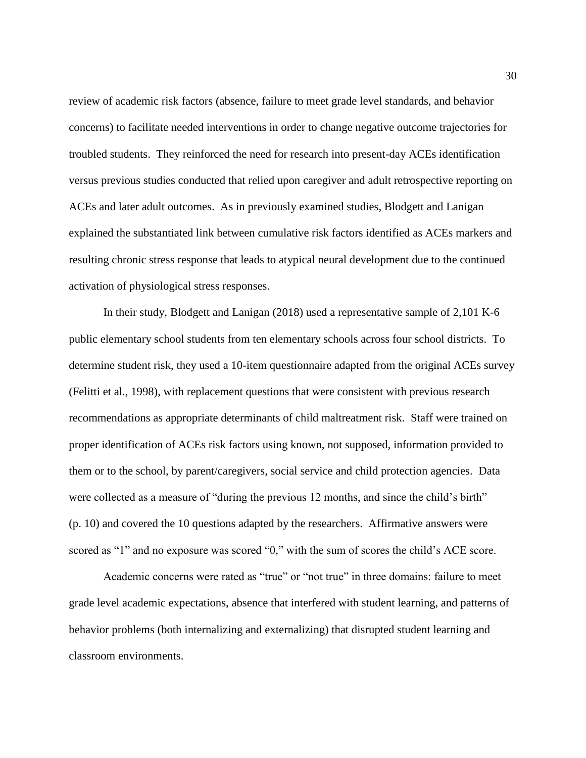review of academic risk factors (absence, failure to meet grade level standards, and behavior concerns) to facilitate needed interventions in order to change negative outcome trajectories for troubled students. They reinforced the need for research into present-day ACEs identification versus previous studies conducted that relied upon caregiver and adult retrospective reporting on ACEs and later adult outcomes. As in previously examined studies, Blodgett and Lanigan explained the substantiated link between cumulative risk factors identified as ACEs markers and resulting chronic stress response that leads to atypical neural development due to the continued activation of physiological stress responses.

In their study, Blodgett and Lanigan (2018) used a representative sample of 2,101 K-6 public elementary school students from ten elementary schools across four school districts. To determine student risk, they used a 10-item questionnaire adapted from the original ACEs survey (Felitti et al., 1998), with replacement questions that were consistent with previous research recommendations as appropriate determinants of child maltreatment risk. Staff were trained on proper identification of ACEs risk factors using known, not supposed, information provided to them or to the school, by parent/caregivers, social service and child protection agencies. Data were collected as a measure of "during the previous 12 months, and since the child's birth" (p. 10) and covered the 10 questions adapted by the researchers. Affirmative answers were scored as "1" and no exposure was scored "0," with the sum of scores the child's ACE score.

Academic concerns were rated as "true" or "not true" in three domains: failure to meet grade level academic expectations, absence that interfered with student learning, and patterns of behavior problems (both internalizing and externalizing) that disrupted student learning and classroom environments.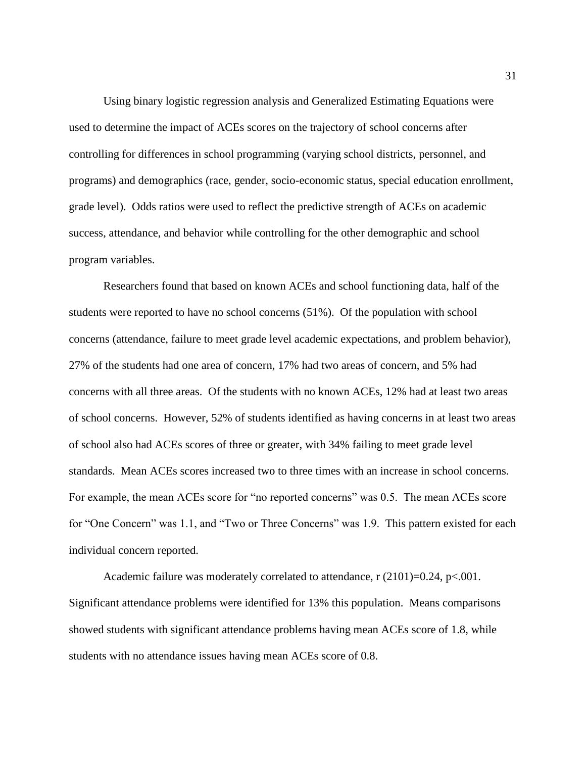Using binary logistic regression analysis and Generalized Estimating Equations were used to determine the impact of ACEs scores on the trajectory of school concerns after controlling for differences in school programming (varying school districts, personnel, and programs) and demographics (race, gender, socio-economic status, special education enrollment, grade level). Odds ratios were used to reflect the predictive strength of ACEs on academic success, attendance, and behavior while controlling for the other demographic and school program variables.

Researchers found that based on known ACEs and school functioning data, half of the students were reported to have no school concerns (51%). Of the population with school concerns (attendance, failure to meet grade level academic expectations, and problem behavior), 27% of the students had one area of concern, 17% had two areas of concern, and 5% had concerns with all three areas. Of the students with no known ACEs, 12% had at least two areas of school concerns. However, 52% of students identified as having concerns in at least two areas of school also had ACEs scores of three or greater, with 34% failing to meet grade level standards. Mean ACEs scores increased two to three times with an increase in school concerns. For example, the mean ACEs score for "no reported concerns" was 0.5. The mean ACEs score for "One Concern" was 1.1, and "Two or Three Concerns" was 1.9. This pattern existed for each individual concern reported.

Academic failure was moderately correlated to attendance,  $r(2101)=0.24$ ,  $p<0.001$ . Significant attendance problems were identified for 13% this population. Means comparisons showed students with significant attendance problems having mean ACEs score of 1.8, while students with no attendance issues having mean ACEs score of 0.8.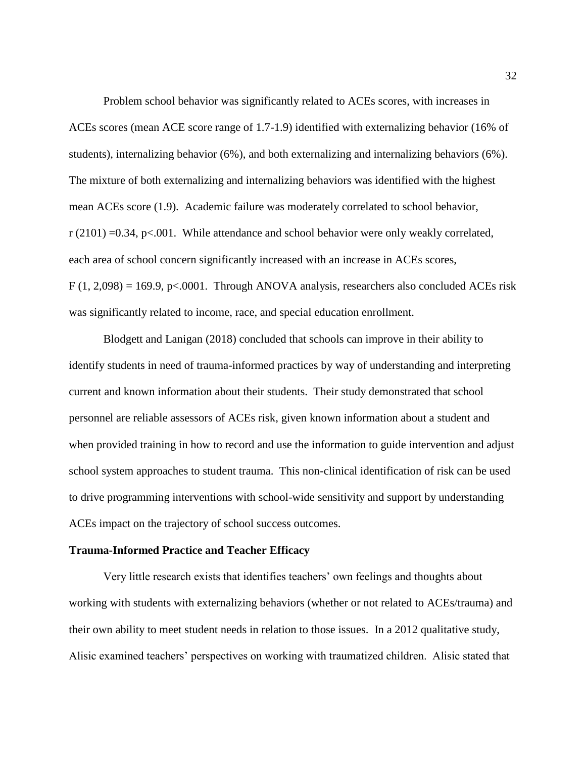Problem school behavior was significantly related to ACEs scores, with increases in ACEs scores (mean ACE score range of 1.7-1.9) identified with externalizing behavior (16% of students), internalizing behavior (6%), and both externalizing and internalizing behaviors (6%). The mixture of both externalizing and internalizing behaviors was identified with the highest mean ACEs score (1.9). Academic failure was moderately correlated to school behavior, r (2101) =0.34, p<.001. While attendance and school behavior were only weakly correlated, each area of school concern significantly increased with an increase in ACEs scores,  $F(1, 2,098) = 169.9$ , p<.0001. Through ANOVA analysis, researchers also concluded ACEs risk was significantly related to income, race, and special education enrollment.

Blodgett and Lanigan (2018) concluded that schools can improve in their ability to identify students in need of trauma-informed practices by way of understanding and interpreting current and known information about their students. Their study demonstrated that school personnel are reliable assessors of ACEs risk, given known information about a student and when provided training in how to record and use the information to guide intervention and adjust school system approaches to student trauma. This non-clinical identification of risk can be used to drive programming interventions with school-wide sensitivity and support by understanding ACEs impact on the trajectory of school success outcomes.

#### **Trauma-Informed Practice and Teacher Efficacy**

Very little research exists that identifies teachers' own feelings and thoughts about working with students with externalizing behaviors (whether or not related to ACEs/trauma) and their own ability to meet student needs in relation to those issues. In a 2012 qualitative study, Alisic examined teachers' perspectives on working with traumatized children. Alisic stated that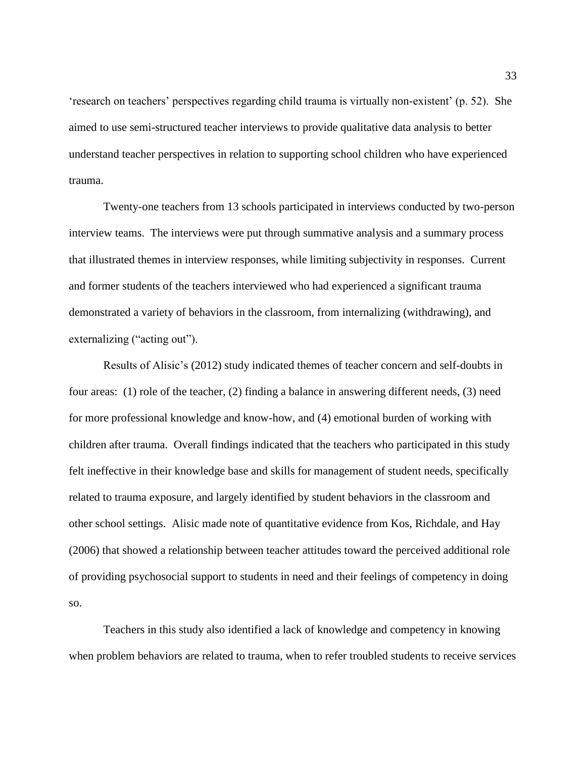'research on teachers' perspectives regarding child trauma is virtually non-existent' (p. 52). She aimed to use semi-structured teacher interviews to provide qualitative data analysis to better understand teacher perspectives in relation to supporting school children who have experienced trauma.

Twenty-one teachers from 13 schools participated in interviews conducted by two-person interview teams. The interviews were put through summative analysis and a summary process that illustrated themes in interview responses, while limiting subjectivity in responses. Current and former students of the teachers interviewed who had experienced a significant trauma demonstrated a variety of behaviors in the classroom, from internalizing (withdrawing), and externalizing ("acting out").

Results of Alisic's (2012) study indicated themes of teacher concern and self-doubts in four areas: (1) role of the teacher, (2) finding a balance in answering different needs, (3) need for more professional knowledge and know-how, and (4) emotional burden of working with children after trauma. Overall findings indicated that the teachers who participated in this study felt ineffective in their knowledge base and skills for management of student needs, specifically related to trauma exposure, and largely identified by student behaviors in the classroom and other school settings. Alisic made note of quantitative evidence from Kos, Richdale, and Hay (2006) that showed a relationship between teacher attitudes toward the perceived additional role of providing psychosocial support to students in need and their feelings of competency in doing so.

Teachers in this study also identified a lack of knowledge and competency in knowing when problem behaviors are related to trauma, when to refer troubled students to receive services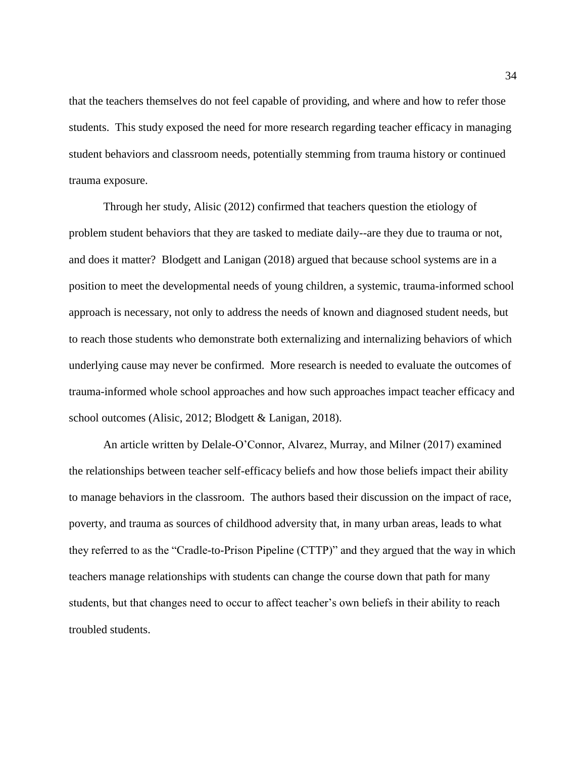that the teachers themselves do not feel capable of providing, and where and how to refer those students. This study exposed the need for more research regarding teacher efficacy in managing student behaviors and classroom needs, potentially stemming from trauma history or continued trauma exposure.

Through her study, Alisic (2012) confirmed that teachers question the etiology of problem student behaviors that they are tasked to mediate daily--are they due to trauma or not, and does it matter? Blodgett and Lanigan (2018) argued that because school systems are in a position to meet the developmental needs of young children, a systemic, trauma-informed school approach is necessary, not only to address the needs of known and diagnosed student needs, but to reach those students who demonstrate both externalizing and internalizing behaviors of which underlying cause may never be confirmed. More research is needed to evaluate the outcomes of trauma-informed whole school approaches and how such approaches impact teacher efficacy and school outcomes (Alisic, 2012; Blodgett & Lanigan, 2018).

An article written by Delale-O'Connor, Alvarez, Murray, and Milner (2017) examined the relationships between teacher self-efficacy beliefs and how those beliefs impact their ability to manage behaviors in the classroom. The authors based their discussion on the impact of race, poverty, and trauma as sources of childhood adversity that, in many urban areas, leads to what they referred to as the "Cradle-to-Prison Pipeline (CTTP)" and they argued that the way in which teachers manage relationships with students can change the course down that path for many students, but that changes need to occur to affect teacher's own beliefs in their ability to reach troubled students.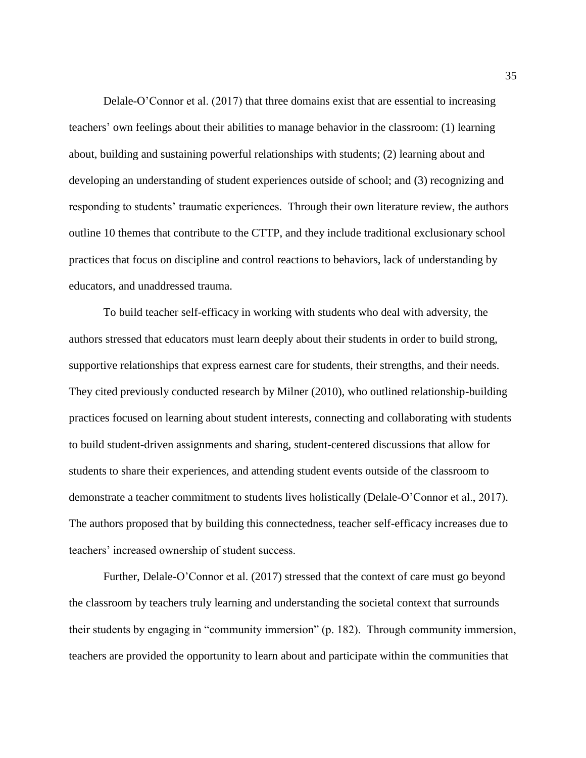Delale-O'Connor et al. (2017) that three domains exist that are essential to increasing teachers' own feelings about their abilities to manage behavior in the classroom: (1) learning about, building and sustaining powerful relationships with students; (2) learning about and developing an understanding of student experiences outside of school; and (3) recognizing and responding to students' traumatic experiences. Through their own literature review, the authors outline 10 themes that contribute to the CTTP, and they include traditional exclusionary school practices that focus on discipline and control reactions to behaviors, lack of understanding by educators, and unaddressed trauma.

To build teacher self-efficacy in working with students who deal with adversity, the authors stressed that educators must learn deeply about their students in order to build strong, supportive relationships that express earnest care for students, their strengths, and their needs. They cited previously conducted research by Milner (2010), who outlined relationship-building practices focused on learning about student interests, connecting and collaborating with students to build student-driven assignments and sharing, student-centered discussions that allow for students to share their experiences, and attending student events outside of the classroom to demonstrate a teacher commitment to students lives holistically (Delale-O'Connor et al., 2017). The authors proposed that by building this connectedness, teacher self-efficacy increases due to teachers' increased ownership of student success.

Further, Delale-O'Connor et al. (2017) stressed that the context of care must go beyond the classroom by teachers truly learning and understanding the societal context that surrounds their students by engaging in "community immersion" (p. 182). Through community immersion, teachers are provided the opportunity to learn about and participate within the communities that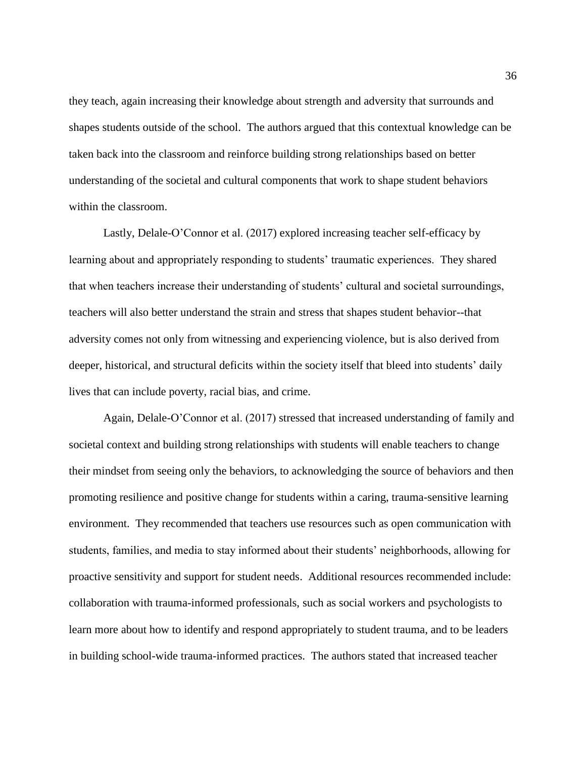they teach, again increasing their knowledge about strength and adversity that surrounds and shapes students outside of the school. The authors argued that this contextual knowledge can be taken back into the classroom and reinforce building strong relationships based on better understanding of the societal and cultural components that work to shape student behaviors within the classroom.

Lastly, Delale-O'Connor et al. (2017) explored increasing teacher self-efficacy by learning about and appropriately responding to students' traumatic experiences. They shared that when teachers increase their understanding of students' cultural and societal surroundings, teachers will also better understand the strain and stress that shapes student behavior--that adversity comes not only from witnessing and experiencing violence, but is also derived from deeper, historical, and structural deficits within the society itself that bleed into students' daily lives that can include poverty, racial bias, and crime.

Again, Delale-O'Connor et al. (2017) stressed that increased understanding of family and societal context and building strong relationships with students will enable teachers to change their mindset from seeing only the behaviors, to acknowledging the source of behaviors and then promoting resilience and positive change for students within a caring, trauma-sensitive learning environment. They recommended that teachers use resources such as open communication with students, families, and media to stay informed about their students' neighborhoods, allowing for proactive sensitivity and support for student needs. Additional resources recommended include: collaboration with trauma-informed professionals, such as social workers and psychologists to learn more about how to identify and respond appropriately to student trauma, and to be leaders in building school-wide trauma-informed practices. The authors stated that increased teacher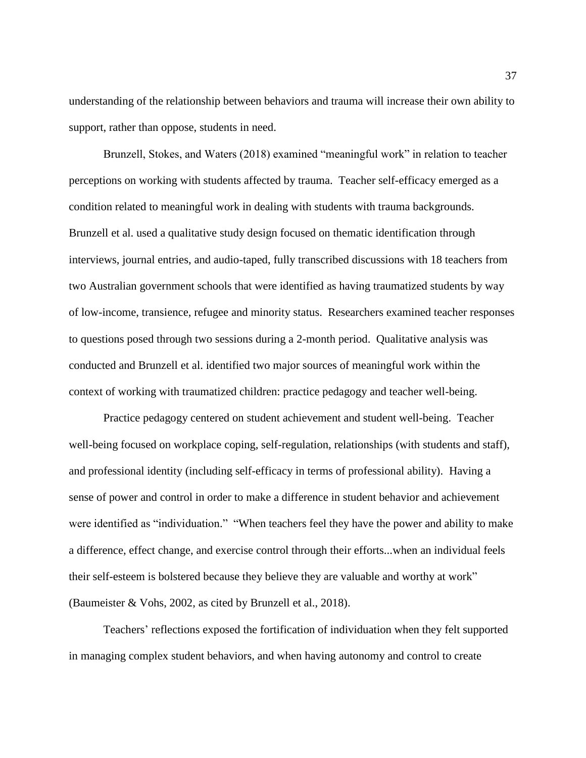understanding of the relationship between behaviors and trauma will increase their own ability to support, rather than oppose, students in need.

Brunzell, Stokes, and Waters (2018) examined "meaningful work" in relation to teacher perceptions on working with students affected by trauma. Teacher self-efficacy emerged as a condition related to meaningful work in dealing with students with trauma backgrounds. Brunzell et al. used a qualitative study design focused on thematic identification through interviews, journal entries, and audio-taped, fully transcribed discussions with 18 teachers from two Australian government schools that were identified as having traumatized students by way of low-income, transience, refugee and minority status. Researchers examined teacher responses to questions posed through two sessions during a 2-month period. Qualitative analysis was conducted and Brunzell et al. identified two major sources of meaningful work within the context of working with traumatized children: practice pedagogy and teacher well-being.

Practice pedagogy centered on student achievement and student well-being. Teacher well-being focused on workplace coping, self-regulation, relationships (with students and staff), and professional identity (including self-efficacy in terms of professional ability). Having a sense of power and control in order to make a difference in student behavior and achievement were identified as "individuation." "When teachers feel they have the power and ability to make a difference, effect change, and exercise control through their efforts...when an individual feels their self-esteem is bolstered because they believe they are valuable and worthy at work" (Baumeister & Vohs, 2002, as cited by Brunzell et al., 2018).

Teachers' reflections exposed the fortification of individuation when they felt supported in managing complex student behaviors, and when having autonomy and control to create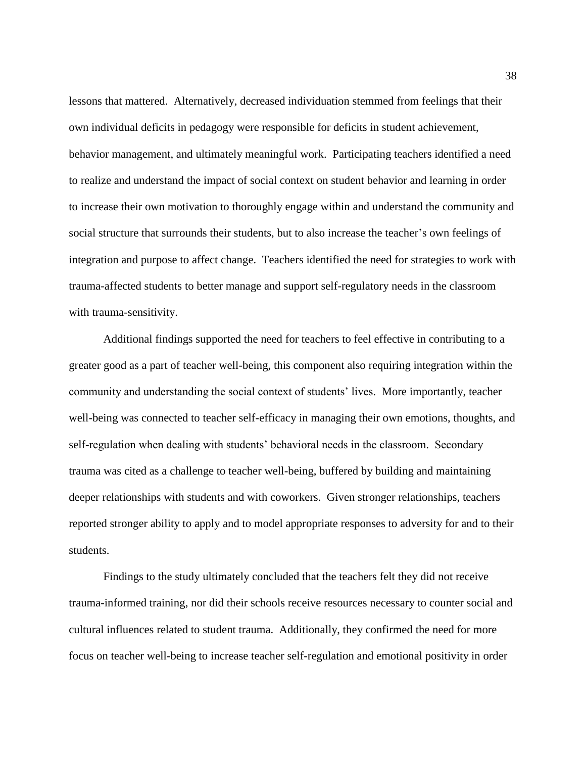lessons that mattered. Alternatively, decreased individuation stemmed from feelings that their own individual deficits in pedagogy were responsible for deficits in student achievement, behavior management, and ultimately meaningful work. Participating teachers identified a need to realize and understand the impact of social context on student behavior and learning in order to increase their own motivation to thoroughly engage within and understand the community and social structure that surrounds their students, but to also increase the teacher's own feelings of integration and purpose to affect change. Teachers identified the need for strategies to work with trauma-affected students to better manage and support self-regulatory needs in the classroom with trauma-sensitivity.

Additional findings supported the need for teachers to feel effective in contributing to a greater good as a part of teacher well-being, this component also requiring integration within the community and understanding the social context of students' lives. More importantly, teacher well-being was connected to teacher self-efficacy in managing their own emotions, thoughts, and self-regulation when dealing with students' behavioral needs in the classroom. Secondary trauma was cited as a challenge to teacher well-being, buffered by building and maintaining deeper relationships with students and with coworkers. Given stronger relationships, teachers reported stronger ability to apply and to model appropriate responses to adversity for and to their students.

Findings to the study ultimately concluded that the teachers felt they did not receive trauma-informed training, nor did their schools receive resources necessary to counter social and cultural influences related to student trauma. Additionally, they confirmed the need for more focus on teacher well-being to increase teacher self-regulation and emotional positivity in order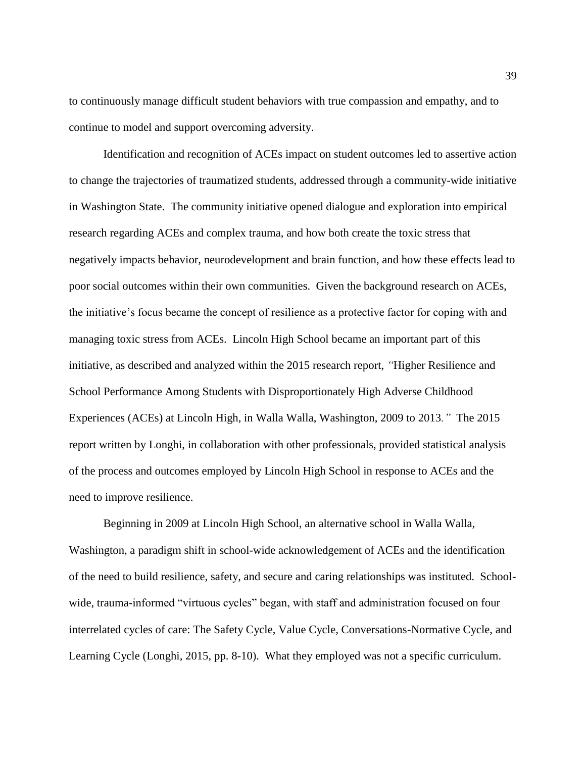to continuously manage difficult student behaviors with true compassion and empathy, and to continue to model and support overcoming adversity.

Identification and recognition of ACEs impact on student outcomes led to assertive action to change the trajectories of traumatized students, addressed through a community-wide initiative in Washington State. The community initiative opened dialogue and exploration into empirical research regarding ACEs and complex trauma, and how both create the toxic stress that negatively impacts behavior, neurodevelopment and brain function, and how these effects lead to poor social outcomes within their own communities. Given the background research on ACEs, the initiative's focus became the concept of resilience as a protective factor for coping with and managing toxic stress from ACEs. Lincoln High School became an important part of this initiative, as described and analyzed within the 2015 research report, *"*Higher Resilience and School Performance Among Students with Disproportionately High Adverse Childhood Experiences (ACEs) at Lincoln High, in Walla Walla, Washington, 2009 to 2013*."* The 2015 report written by Longhi, in collaboration with other professionals, provided statistical analysis of the process and outcomes employed by Lincoln High School in response to ACEs and the need to improve resilience.

Beginning in 2009 at Lincoln High School, an alternative school in Walla Walla, Washington, a paradigm shift in school-wide acknowledgement of ACEs and the identification of the need to build resilience, safety, and secure and caring relationships was instituted. Schoolwide, trauma-informed "virtuous cycles" began, with staff and administration focused on four interrelated cycles of care: The Safety Cycle, Value Cycle, Conversations-Normative Cycle, and Learning Cycle (Longhi, 2015, pp. 8-10). What they employed was not a specific curriculum.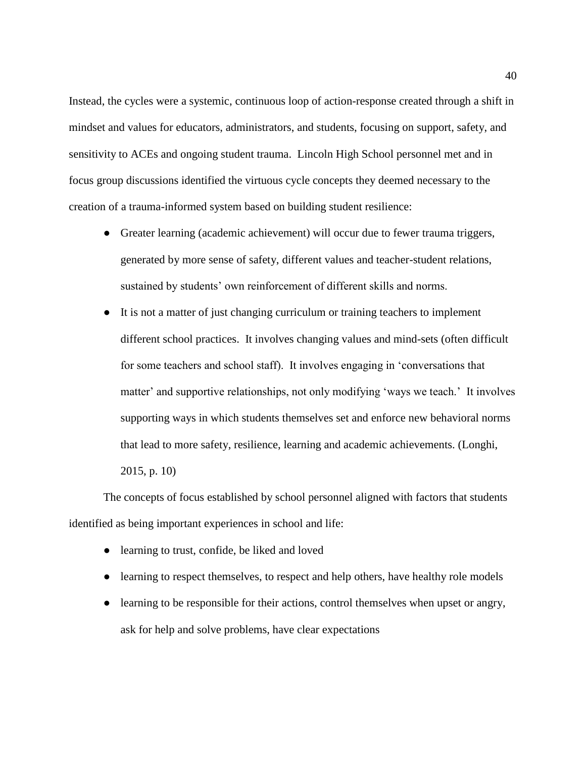Instead, the cycles were a systemic, continuous loop of action-response created through a shift in mindset and values for educators, administrators, and students, focusing on support, safety, and sensitivity to ACEs and ongoing student trauma. Lincoln High School personnel met and in focus group discussions identified the virtuous cycle concepts they deemed necessary to the creation of a trauma-informed system based on building student resilience:

- Greater learning (academic achievement) will occur due to fewer trauma triggers, generated by more sense of safety, different values and teacher-student relations, sustained by students' own reinforcement of different skills and norms.
- It is not a matter of just changing curriculum or training teachers to implement different school practices. It involves changing values and mind-sets (often difficult for some teachers and school staff). It involves engaging in 'conversations that matter' and supportive relationships, not only modifying 'ways we teach.' It involves supporting ways in which students themselves set and enforce new behavioral norms that lead to more safety, resilience, learning and academic achievements. (Longhi, 2015, p. 10)

The concepts of focus established by school personnel aligned with factors that students identified as being important experiences in school and life:

- learning to trust, confide, be liked and loved
- learning to respect themselves, to respect and help others, have healthy role models
- learning to be responsible for their actions, control themselves when upset or angry, ask for help and solve problems, have clear expectations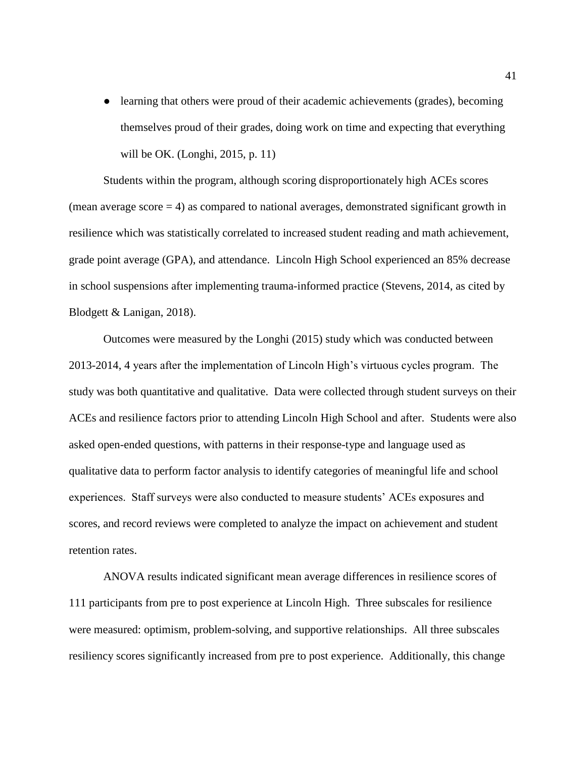● learning that others were proud of their academic achievements (grades), becoming themselves proud of their grades, doing work on time and expecting that everything will be OK. (Longhi, 2015, p. 11)

Students within the program, although scoring disproportionately high ACEs scores (mean average score  $= 4$ ) as compared to national averages, demonstrated significant growth in resilience which was statistically correlated to increased student reading and math achievement, grade point average (GPA), and attendance. Lincoln High School experienced an 85% decrease in school suspensions after implementing trauma-informed practice (Stevens, 2014, as cited by Blodgett & Lanigan, 2018).

Outcomes were measured by the Longhi (2015) study which was conducted between 2013-2014, 4 years after the implementation of Lincoln High's virtuous cycles program. The study was both quantitative and qualitative. Data were collected through student surveys on their ACEs and resilience factors prior to attending Lincoln High School and after. Students were also asked open-ended questions, with patterns in their response-type and language used as qualitative data to perform factor analysis to identify categories of meaningful life and school experiences. Staff surveys were also conducted to measure students' ACEs exposures and scores, and record reviews were completed to analyze the impact on achievement and student retention rates.

ANOVA results indicated significant mean average differences in resilience scores of 111 participants from pre to post experience at Lincoln High. Three subscales for resilience were measured: optimism, problem-solving, and supportive relationships. All three subscales resiliency scores significantly increased from pre to post experience. Additionally, this change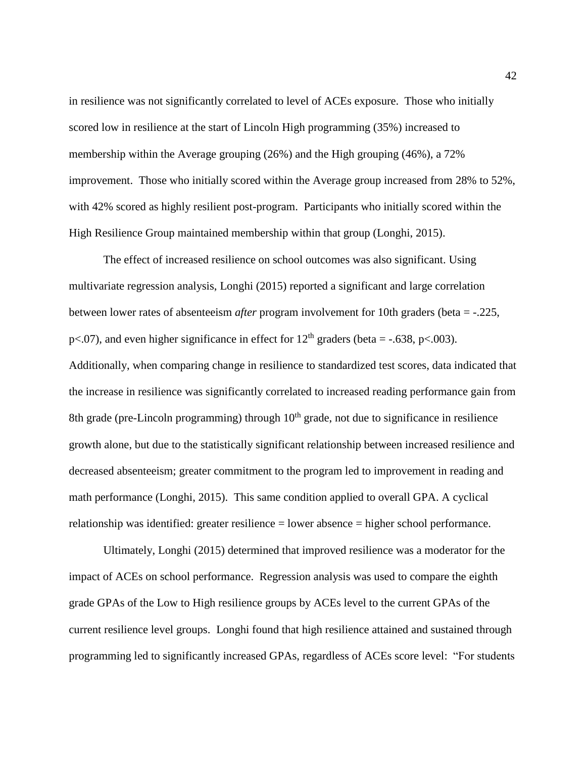in resilience was not significantly correlated to level of ACEs exposure. Those who initially scored low in resilience at the start of Lincoln High programming (35%) increased to membership within the Average grouping (26%) and the High grouping (46%), a 72% improvement. Those who initially scored within the Average group increased from 28% to 52%, with 42% scored as highly resilient post-program. Participants who initially scored within the High Resilience Group maintained membership within that group (Longhi, 2015).

The effect of increased resilience on school outcomes was also significant. Using multivariate regression analysis, Longhi (2015) reported a significant and large correlation between lower rates of absenteeism *after* program involvement for 10th graders (beta = -.225, p $\lt$ .07), and even higher significance in effect for 12<sup>th</sup> graders (beta = -.638, p $\lt$ .003). Additionally, when comparing change in resilience to standardized test scores, data indicated that the increase in resilience was significantly correlated to increased reading performance gain from 8th grade (pre-Lincoln programming) through  $10<sup>th</sup>$  grade, not due to significance in resilience growth alone, but due to the statistically significant relationship between increased resilience and decreased absenteeism; greater commitment to the program led to improvement in reading and math performance (Longhi, 2015). This same condition applied to overall GPA. A cyclical relationship was identified: greater resilience = lower absence = higher school performance.

Ultimately, Longhi (2015) determined that improved resilience was a moderator for the impact of ACEs on school performance. Regression analysis was used to compare the eighth grade GPAs of the Low to High resilience groups by ACEs level to the current GPAs of the current resilience level groups. Longhi found that high resilience attained and sustained through programming led to significantly increased GPAs, regardless of ACEs score level: "For students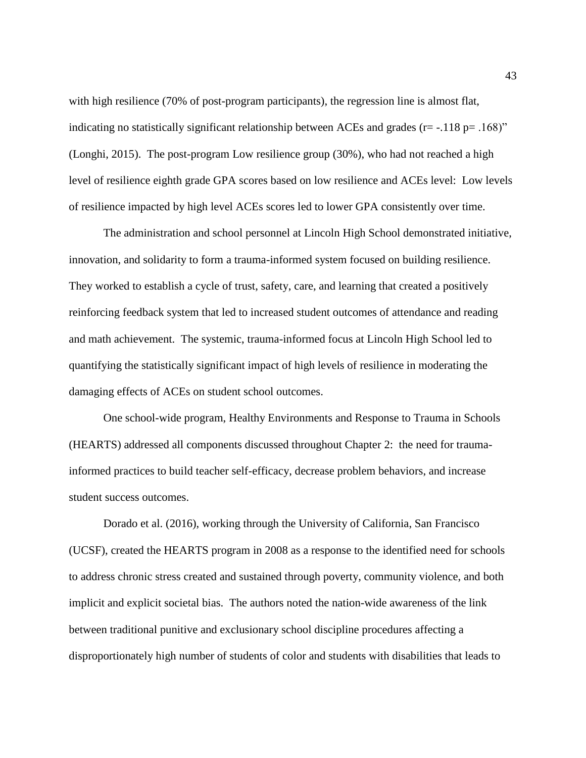with high resilience (70% of post-program participants), the regression line is almost flat, indicating no statistically significant relationship between ACEs and grades ( $r = -118$  p= .168)" (Longhi, 2015). The post-program Low resilience group (30%), who had not reached a high level of resilience eighth grade GPA scores based on low resilience and ACEs level: Low levels of resilience impacted by high level ACEs scores led to lower GPA consistently over time.

The administration and school personnel at Lincoln High School demonstrated initiative, innovation, and solidarity to form a trauma-informed system focused on building resilience. They worked to establish a cycle of trust, safety, care, and learning that created a positively reinforcing feedback system that led to increased student outcomes of attendance and reading and math achievement. The systemic, trauma-informed focus at Lincoln High School led to quantifying the statistically significant impact of high levels of resilience in moderating the damaging effects of ACEs on student school outcomes.

One school-wide program, Healthy Environments and Response to Trauma in Schools (HEARTS) addressed all components discussed throughout Chapter 2: the need for traumainformed practices to build teacher self-efficacy, decrease problem behaviors, and increase student success outcomes.

Dorado et al. (2016), working through the University of California, San Francisco (UCSF), created the HEARTS program in 2008 as a response to the identified need for schools to address chronic stress created and sustained through poverty, community violence, and both implicit and explicit societal bias. The authors noted the nation-wide awareness of the link between traditional punitive and exclusionary school discipline procedures affecting a disproportionately high number of students of color and students with disabilities that leads to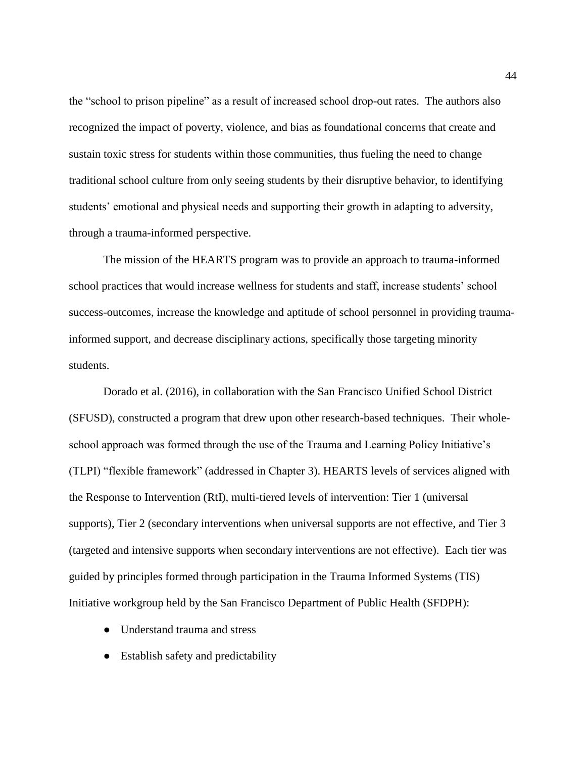the "school to prison pipeline" as a result of increased school drop-out rates. The authors also recognized the impact of poverty, violence, and bias as foundational concerns that create and sustain toxic stress for students within those communities, thus fueling the need to change traditional school culture from only seeing students by their disruptive behavior, to identifying students' emotional and physical needs and supporting their growth in adapting to adversity, through a trauma-informed perspective.

The mission of the HEARTS program was to provide an approach to trauma-informed school practices that would increase wellness for students and staff, increase students' school success-outcomes, increase the knowledge and aptitude of school personnel in providing traumainformed support, and decrease disciplinary actions, specifically those targeting minority students.

Dorado et al. (2016), in collaboration with the San Francisco Unified School District (SFUSD), constructed a program that drew upon other research-based techniques. Their wholeschool approach was formed through the use of the Trauma and Learning Policy Initiative's (TLPI) "flexible framework" (addressed in Chapter 3). HEARTS levels of services aligned with the Response to Intervention (RtI), multi-tiered levels of intervention: Tier 1 (universal supports), Tier 2 (secondary interventions when universal supports are not effective, and Tier 3 (targeted and intensive supports when secondary interventions are not effective). Each tier was guided by principles formed through participation in the Trauma Informed Systems (TIS) Initiative workgroup held by the San Francisco Department of Public Health (SFDPH):

- Understand trauma and stress
- Establish safety and predictability

44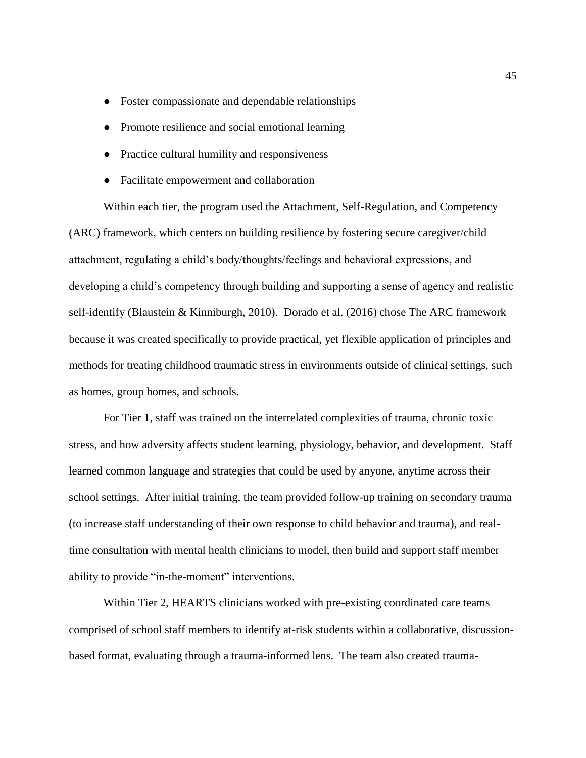- Foster compassionate and dependable relationships
- Promote resilience and social emotional learning
- Practice cultural humility and responsiveness
- Facilitate empowerment and collaboration

Within each tier, the program used the Attachment, Self-Regulation, and Competency (ARC) framework, which centers on building resilience by fostering secure caregiver/child attachment, regulating a child's body/thoughts/feelings and behavioral expressions, and developing a child's competency through building and supporting a sense of agency and realistic self-identify (Blaustein & Kinniburgh, 2010). Dorado et al. (2016) chose The ARC framework because it was created specifically to provide practical, yet flexible application of principles and methods for treating childhood traumatic stress in environments outside of clinical settings, such as homes, group homes, and schools.

For Tier 1, staff was trained on the interrelated complexities of trauma, chronic toxic stress, and how adversity affects student learning, physiology, behavior, and development. Staff learned common language and strategies that could be used by anyone, anytime across their school settings. After initial training, the team provided follow-up training on secondary trauma (to increase staff understanding of their own response to child behavior and trauma), and realtime consultation with mental health clinicians to model, then build and support staff member ability to provide "in-the-moment" interventions.

Within Tier 2, HEARTS clinicians worked with pre-existing coordinated care teams comprised of school staff members to identify at-risk students within a collaborative, discussionbased format, evaluating through a trauma-informed lens. The team also created trauma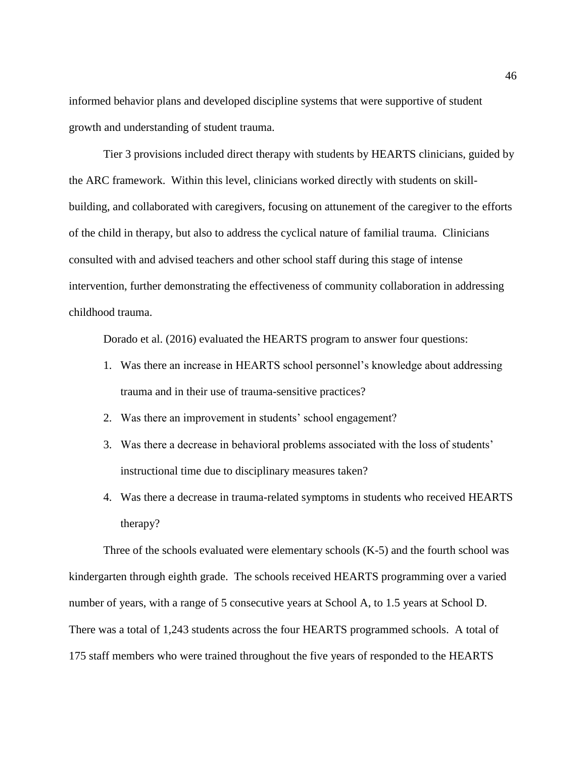informed behavior plans and developed discipline systems that were supportive of student growth and understanding of student trauma.

Tier 3 provisions included direct therapy with students by HEARTS clinicians, guided by the ARC framework. Within this level, clinicians worked directly with students on skillbuilding, and collaborated with caregivers, focusing on attunement of the caregiver to the efforts of the child in therapy, but also to address the cyclical nature of familial trauma. Clinicians consulted with and advised teachers and other school staff during this stage of intense intervention, further demonstrating the effectiveness of community collaboration in addressing childhood trauma.

Dorado et al. (2016) evaluated the HEARTS program to answer four questions:

- 1. Was there an increase in HEARTS school personnel's knowledge about addressing trauma and in their use of trauma-sensitive practices?
- 2. Was there an improvement in students' school engagement?
- 3. Was there a decrease in behavioral problems associated with the loss of students' instructional time due to disciplinary measures taken?
- 4. Was there a decrease in trauma-related symptoms in students who received HEARTS therapy?

Three of the schools evaluated were elementary schools (K-5) and the fourth school was kindergarten through eighth grade. The schools received HEARTS programming over a varied number of years, with a range of 5 consecutive years at School A, to 1.5 years at School D. There was a total of 1,243 students across the four HEARTS programmed schools. A total of 175 staff members who were trained throughout the five years of responded to the HEARTS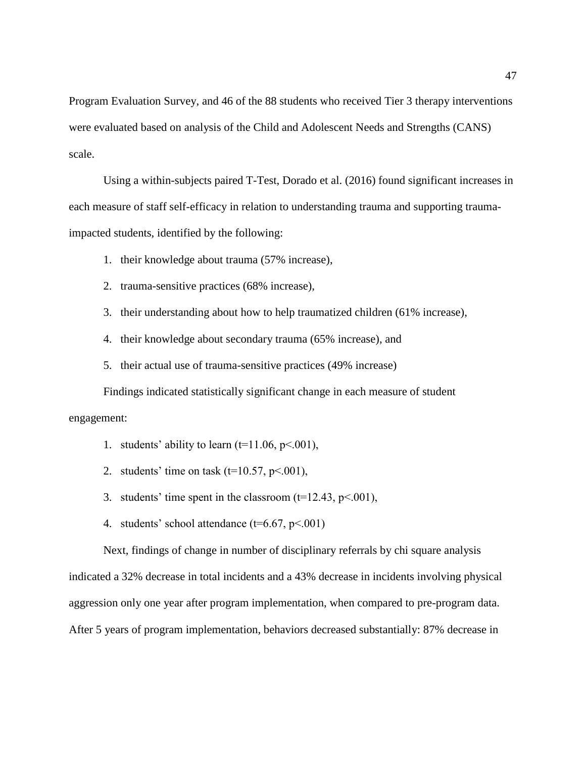Program Evaluation Survey, and 46 of the 88 students who received Tier 3 therapy interventions were evaluated based on analysis of the Child and Adolescent Needs and Strengths (CANS) scale.

Using a within-subjects paired T-Test, Dorado et al. (2016) found significant increases in each measure of staff self-efficacy in relation to understanding trauma and supporting traumaimpacted students, identified by the following:

1. their knowledge about trauma (57% increase),

- 2. trauma-sensitive practices (68% increase),
- 3. their understanding about how to help traumatized children (61% increase),
- 4. their knowledge about secondary trauma (65% increase), and
- 5. their actual use of trauma-sensitive practices (49% increase)

Findings indicated statistically significant change in each measure of student engagement:

- 1. students' ability to learn  $(t=11.06, p<.001)$ ,
- 2. students' time on task  $(t=10.57, p<.001)$ ,
- 3. students' time spent in the classroom  $(t=12.43, p<.001)$ ,
- 4. students' school attendance  $(t=6.67, p<.001)$

Next, findings of change in number of disciplinary referrals by chi square analysis indicated a 32% decrease in total incidents and a 43% decrease in incidents involving physical aggression only one year after program implementation, when compared to pre-program data. After 5 years of program implementation, behaviors decreased substantially: 87% decrease in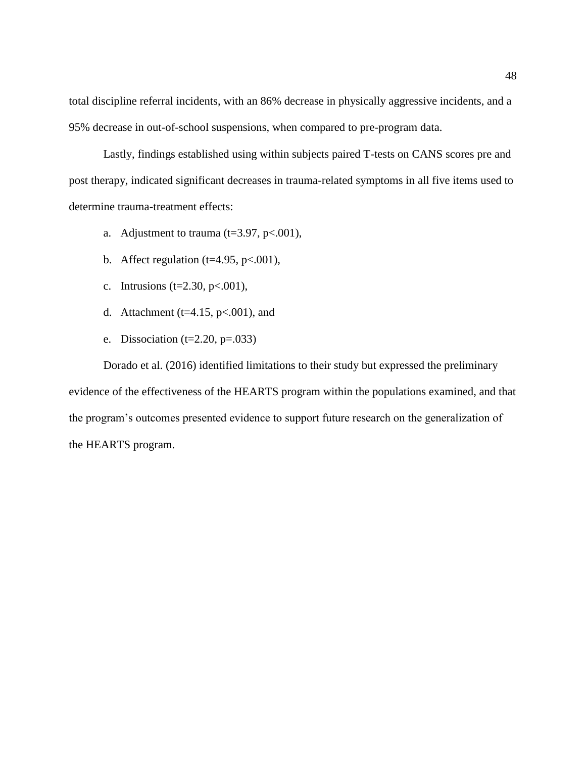total discipline referral incidents, with an 86% decrease in physically aggressive incidents, and a 95% decrease in out-of-school suspensions, when compared to pre-program data.

Lastly, findings established using within subjects paired T-tests on CANS scores pre and post therapy, indicated significant decreases in trauma-related symptoms in all five items used to determine trauma-treatment effects:

- a. Adjustment to trauma ( $t=3.97$ ,  $p<.001$ ),
- b. Affect regulation ( $t=4.95$ ,  $p<.001$ ),
- c. Intrusions ( $t=2.30$ ,  $p<.001$ ),
- d. Attachment (t=4.15,  $p < .001$ ), and
- e. Dissociation ( $t=2.20$ ,  $p=.033$ )

Dorado et al. (2016) identified limitations to their study but expressed the preliminary evidence of the effectiveness of the HEARTS program within the populations examined, and that the program's outcomes presented evidence to support future research on the generalization of the HEARTS program.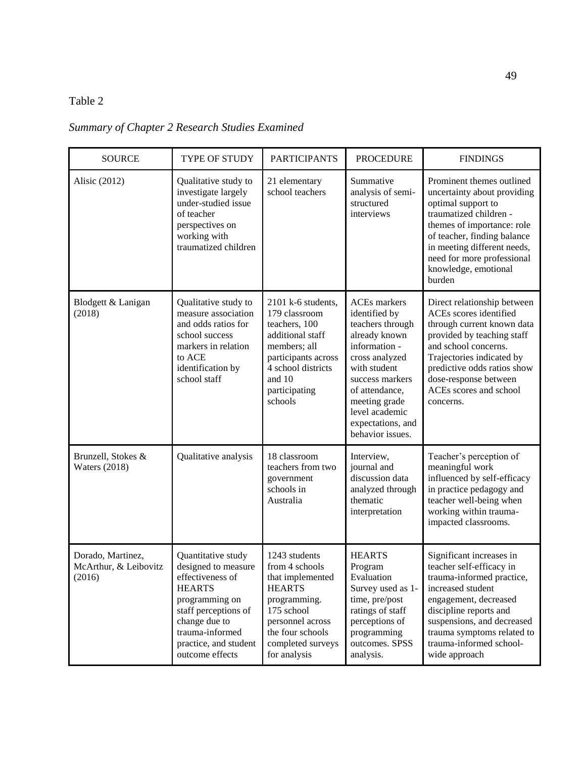# Table 2

*Summary of Chapter 2 Research Studies Examined*

| <b>SOURCE</b>                                        | TYPE OF STUDY                                                                                                                                                                                            | <b>PARTICIPANTS</b>                                                                                                                                                             | <b>PROCEDURE</b>                                                                                                                                                                                                                              | <b>FINDINGS</b>                                                                                                                                                                                                                                                       |
|------------------------------------------------------|----------------------------------------------------------------------------------------------------------------------------------------------------------------------------------------------------------|---------------------------------------------------------------------------------------------------------------------------------------------------------------------------------|-----------------------------------------------------------------------------------------------------------------------------------------------------------------------------------------------------------------------------------------------|-----------------------------------------------------------------------------------------------------------------------------------------------------------------------------------------------------------------------------------------------------------------------|
| Alisic (2012)                                        | Qualitative study to<br>investigate largely<br>under-studied issue<br>of teacher<br>perspectives on<br>working with<br>traumatized children                                                              | 21 elementary<br>school teachers                                                                                                                                                | Summative<br>analysis of semi-<br>structured<br>interviews                                                                                                                                                                                    | Prominent themes outlined<br>uncertainty about providing<br>optimal support to<br>traumatized children -<br>themes of importance: role<br>of teacher, finding balance<br>in meeting different needs,<br>need for more professional<br>knowledge, emotional<br>burden  |
| Blodgett & Lanigan<br>(2018)                         | Qualitative study to<br>measure association<br>and odds ratios for<br>school success<br>markers in relation<br>to ACE<br>identification by<br>school staff                                               | 2101 k-6 students,<br>179 classroom<br>teachers, 100<br>additional staff<br>members; all<br>participants across<br>4 school districts<br>and $10$<br>participating<br>schools   | <b>ACEs</b> markers<br>identified by<br>teachers through<br>already known<br>information -<br>cross analyzed<br>with student<br>success markers<br>of attendance,<br>meeting grade<br>level academic<br>expectations, and<br>behavior issues. | Direct relationship between<br>ACEs scores identified<br>through current known data<br>provided by teaching staff<br>and school concerns.<br>Trajectories indicated by<br>predictive odds ratios show<br>dose-response between<br>ACEs scores and school<br>concerns. |
| Brunzell, Stokes &<br><b>Waters (2018)</b>           | Qualitative analysis                                                                                                                                                                                     | 18 classroom<br>teachers from two<br>government<br>schools in<br>Australia                                                                                                      | Interview,<br>journal and<br>discussion data<br>analyzed through<br>thematic<br>interpretation                                                                                                                                                | Teacher's perception of<br>meaningful work<br>influenced by self-efficacy<br>in practice pedagogy and<br>teacher well-being when<br>working within trauma-<br>impacted classrooms.                                                                                    |
| Dorado, Martinez,<br>McArthur, & Leibovitz<br>(2016) | Quantitative study<br>designed to measure<br>effectiveness of<br><b>HEARTS</b><br>programming on<br>staff perceptions of<br>change due to<br>trauma-informed<br>practice, and student<br>outcome effects | 1243 students<br>from 4 schools<br>that implemented<br><b>HEARTS</b><br>programming.<br>175 school<br>personnel across<br>the four schools<br>completed surveys<br>for analysis | <b>HEARTS</b><br>Program<br>Evaluation<br>Survey used as 1-<br>time, pre/post<br>ratings of staff<br>perceptions of<br>programming<br>outcomes. SPSS<br>analysis.                                                                             | Significant increases in<br>teacher self-efficacy in<br>trauma-informed practice,<br>increased student<br>engagement, decreased<br>discipline reports and<br>suspensions, and decreased<br>trauma symptoms related to<br>trauma-informed school-<br>wide approach     |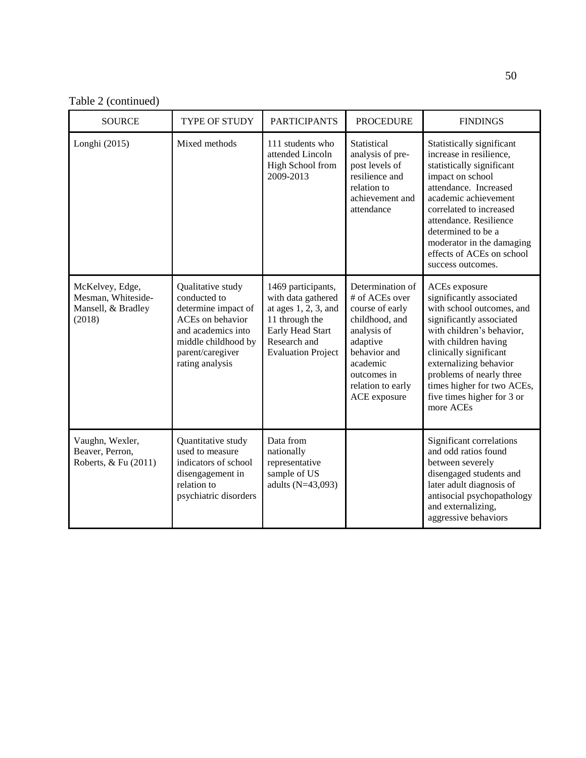Table 2 (continued)

| <b>SOURCE</b>                                                         | TYPE OF STUDY                                                                                                                                                    | <b>PARTICIPANTS</b>                                                                                                                                    | <b>PROCEDURE</b>                                                                                                                                                                   | <b>FINDINGS</b>                                                                                                                                                                                                                                                                                                  |
|-----------------------------------------------------------------------|------------------------------------------------------------------------------------------------------------------------------------------------------------------|--------------------------------------------------------------------------------------------------------------------------------------------------------|------------------------------------------------------------------------------------------------------------------------------------------------------------------------------------|------------------------------------------------------------------------------------------------------------------------------------------------------------------------------------------------------------------------------------------------------------------------------------------------------------------|
| Longhi $(2015)$                                                       | Mixed methods                                                                                                                                                    | 111 students who<br>attended Lincoln<br>High School from<br>2009-2013                                                                                  | Statistical<br>analysis of pre-<br>post levels of<br>resilience and<br>relation to<br>achievement and<br>attendance                                                                | Statistically significant<br>increase in resilience,<br>statistically significant<br>impact on school<br>attendance. Increased<br>academic achievement<br>correlated to increased<br>attendance. Resilience<br>determined to be a<br>moderator in the damaging<br>effects of ACEs on school<br>success outcomes. |
| McKelvey, Edge,<br>Mesman, Whiteside-<br>Mansell, & Bradley<br>(2018) | Qualitative study<br>conducted to<br>determine impact of<br>ACEs on behavior<br>and academics into<br>middle childhood by<br>parent/caregiver<br>rating analysis | 1469 participants,<br>with data gathered<br>at ages $1, 2, 3$ , and<br>11 through the<br>Early Head Start<br>Research and<br><b>Evaluation Project</b> | Determination of<br># of ACEs over<br>course of early<br>childhood, and<br>analysis of<br>adaptive<br>behavior and<br>academic<br>outcomes in<br>relation to early<br>ACE exposure | ACEs exposure<br>significantly associated<br>with school outcomes, and<br>significantly associated<br>with children's behavior,<br>with children having<br>clinically significant<br>externalizing behavior<br>problems of nearly three<br>times higher for two ACEs,<br>five times higher for 3 or<br>more ACEs |
| Vaughn, Wexler,<br>Beaver, Perron,<br>Roberts, & Fu (2011)            | Quantitative study<br>used to measure<br>indicators of school<br>disengagement in<br>relation to<br>psychiatric disorders                                        | Data from<br>nationally<br>representative<br>sample of US<br>adults (N=43,093)                                                                         |                                                                                                                                                                                    | Significant correlations<br>and odd ratios found<br>between severely<br>disengaged students and<br>later adult diagnosis of<br>antisocial psychopathology<br>and externalizing,<br>aggressive behaviors                                                                                                          |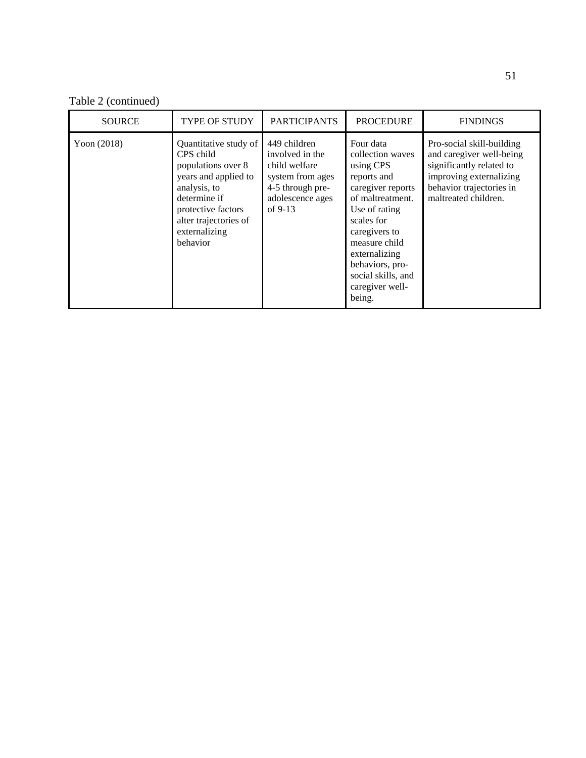Table 2 (continued)

| <b>SOURCE</b> | TYPE OF STUDY                                                                                                                                                                                | <b>PARTICIPANTS</b>                                                                                                       | <b>PROCEDURE</b>                                                                                                                                                                                                                                           | <b>FINDINGS</b>                                                                                                                                                  |
|---------------|----------------------------------------------------------------------------------------------------------------------------------------------------------------------------------------------|---------------------------------------------------------------------------------------------------------------------------|------------------------------------------------------------------------------------------------------------------------------------------------------------------------------------------------------------------------------------------------------------|------------------------------------------------------------------------------------------------------------------------------------------------------------------|
| Yoon $(2018)$ | Quantitative study of<br>CPS child<br>populations over 8<br>years and applied to<br>analysis, to<br>determine if<br>protective factors<br>alter trajectories of<br>externalizing<br>behavior | 449 children<br>involved in the<br>child welfare<br>system from ages<br>4-5 through pre-<br>adolescence ages<br>of $9-13$ | Four data<br>collection waves<br>using CPS<br>reports and<br>caregiver reports<br>of maltreatment.<br>Use of rating<br>scales for<br>caregivers to<br>measure child<br>externalizing<br>behaviors, pro-<br>social skills, and<br>caregiver well-<br>being. | Pro-social skill-building<br>and caregiver well-being<br>significantly related to<br>improving externalizing<br>behavior trajectories in<br>maltreated children. |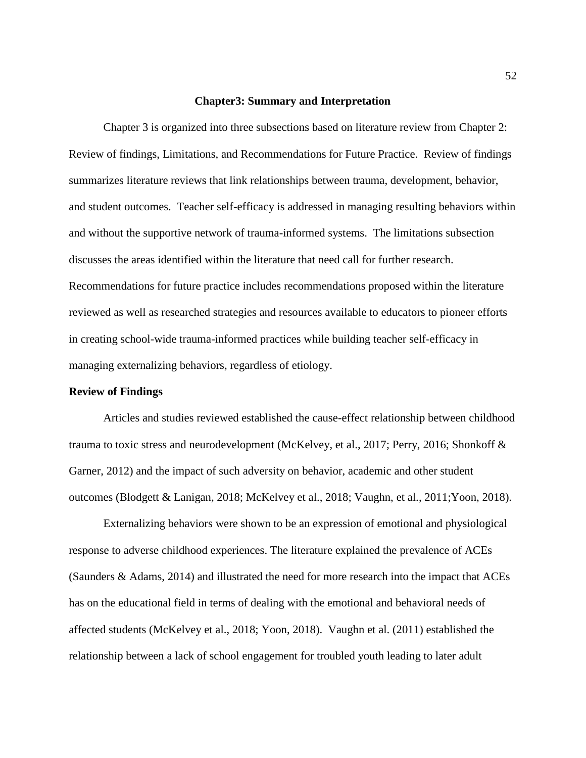#### **Chapter3: Summary and Interpretation**

Chapter 3 is organized into three subsections based on literature review from Chapter 2: Review of findings, Limitations, and Recommendations for Future Practice. Review of findings summarizes literature reviews that link relationships between trauma, development, behavior, and student outcomes. Teacher self-efficacy is addressed in managing resulting behaviors within and without the supportive network of trauma-informed systems. The limitations subsection discusses the areas identified within the literature that need call for further research. Recommendations for future practice includes recommendations proposed within the literature reviewed as well as researched strategies and resources available to educators to pioneer efforts in creating school-wide trauma-informed practices while building teacher self-efficacy in managing externalizing behaviors, regardless of etiology.

#### **Review of Findings**

Articles and studies reviewed established the cause-effect relationship between childhood trauma to toxic stress and neurodevelopment (McKelvey, et al., 2017; Perry, 2016; Shonkoff & Garner, 2012) and the impact of such adversity on behavior, academic and other student outcomes (Blodgett & Lanigan, 2018; McKelvey et al., 2018; Vaughn, et al., 2011;Yoon, 2018).

Externalizing behaviors were shown to be an expression of emotional and physiological response to adverse childhood experiences. The literature explained the prevalence of ACEs (Saunders & Adams, 2014) and illustrated the need for more research into the impact that ACEs has on the educational field in terms of dealing with the emotional and behavioral needs of affected students (McKelvey et al., 2018; Yoon, 2018). Vaughn et al. (2011) established the relationship between a lack of school engagement for troubled youth leading to later adult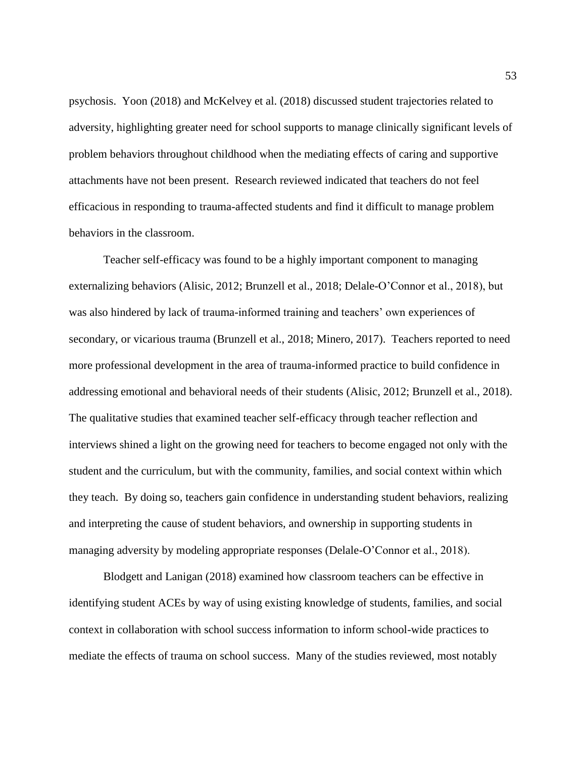psychosis. Yoon (2018) and McKelvey et al. (2018) discussed student trajectories related to adversity, highlighting greater need for school supports to manage clinically significant levels of problem behaviors throughout childhood when the mediating effects of caring and supportive attachments have not been present. Research reviewed indicated that teachers do not feel efficacious in responding to trauma-affected students and find it difficult to manage problem behaviors in the classroom.

Teacher self-efficacy was found to be a highly important component to managing externalizing behaviors (Alisic, 2012; Brunzell et al., 2018; Delale-O'Connor et al., 2018), but was also hindered by lack of trauma-informed training and teachers' own experiences of secondary, or vicarious trauma (Brunzell et al., 2018; Minero, 2017). Teachers reported to need more professional development in the area of trauma-informed practice to build confidence in addressing emotional and behavioral needs of their students (Alisic, 2012; Brunzell et al., 2018). The qualitative studies that examined teacher self-efficacy through teacher reflection and interviews shined a light on the growing need for teachers to become engaged not only with the student and the curriculum, but with the community, families, and social context within which they teach. By doing so, teachers gain confidence in understanding student behaviors, realizing and interpreting the cause of student behaviors, and ownership in supporting students in managing adversity by modeling appropriate responses (Delale-O'Connor et al., 2018).

Blodgett and Lanigan (2018) examined how classroom teachers can be effective in identifying student ACEs by way of using existing knowledge of students, families, and social context in collaboration with school success information to inform school-wide practices to mediate the effects of trauma on school success. Many of the studies reviewed, most notably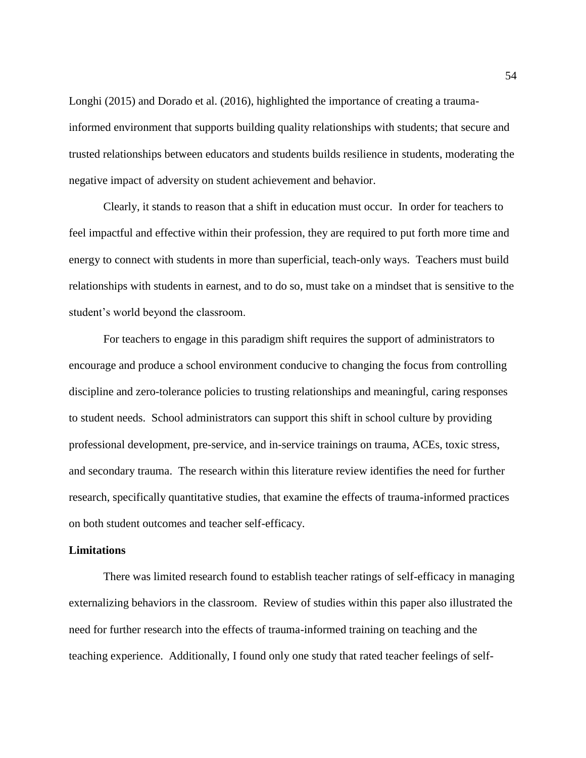Longhi (2015) and Dorado et al. (2016), highlighted the importance of creating a traumainformed environment that supports building quality relationships with students; that secure and trusted relationships between educators and students builds resilience in students, moderating the negative impact of adversity on student achievement and behavior.

Clearly, it stands to reason that a shift in education must occur. In order for teachers to feel impactful and effective within their profession, they are required to put forth more time and energy to connect with students in more than superficial, teach-only ways. Teachers must build relationships with students in earnest, and to do so, must take on a mindset that is sensitive to the student's world beyond the classroom.

For teachers to engage in this paradigm shift requires the support of administrators to encourage and produce a school environment conducive to changing the focus from controlling discipline and zero-tolerance policies to trusting relationships and meaningful, caring responses to student needs. School administrators can support this shift in school culture by providing professional development, pre-service, and in-service trainings on trauma, ACEs, toxic stress, and secondary trauma. The research within this literature review identifies the need for further research, specifically quantitative studies, that examine the effects of trauma-informed practices on both student outcomes and teacher self-efficacy.

#### **Limitations**

There was limited research found to establish teacher ratings of self-efficacy in managing externalizing behaviors in the classroom. Review of studies within this paper also illustrated the need for further research into the effects of trauma-informed training on teaching and the teaching experience. Additionally, I found only one study that rated teacher feelings of self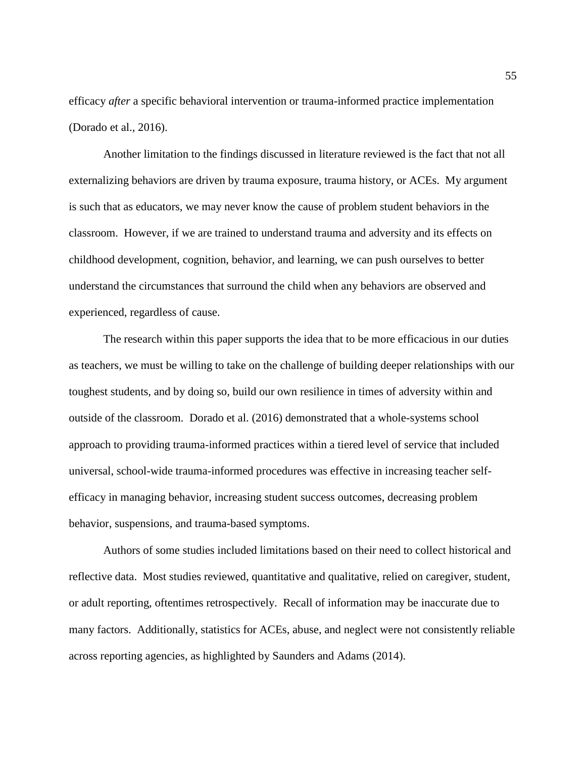efficacy *after* a specific behavioral intervention or trauma-informed practice implementation (Dorado et al., 2016).

Another limitation to the findings discussed in literature reviewed is the fact that not all externalizing behaviors are driven by trauma exposure, trauma history, or ACEs. My argument is such that as educators, we may never know the cause of problem student behaviors in the classroom. However, if we are trained to understand trauma and adversity and its effects on childhood development, cognition, behavior, and learning, we can push ourselves to better understand the circumstances that surround the child when any behaviors are observed and experienced, regardless of cause.

The research within this paper supports the idea that to be more efficacious in our duties as teachers, we must be willing to take on the challenge of building deeper relationships with our toughest students, and by doing so, build our own resilience in times of adversity within and outside of the classroom. Dorado et al. (2016) demonstrated that a whole-systems school approach to providing trauma-informed practices within a tiered level of service that included universal, school-wide trauma-informed procedures was effective in increasing teacher selfefficacy in managing behavior, increasing student success outcomes, decreasing problem behavior, suspensions, and trauma-based symptoms.

Authors of some studies included limitations based on their need to collect historical and reflective data. Most studies reviewed, quantitative and qualitative, relied on caregiver, student, or adult reporting, oftentimes retrospectively. Recall of information may be inaccurate due to many factors. Additionally, statistics for ACEs, abuse, and neglect were not consistently reliable across reporting agencies, as highlighted by Saunders and Adams (2014).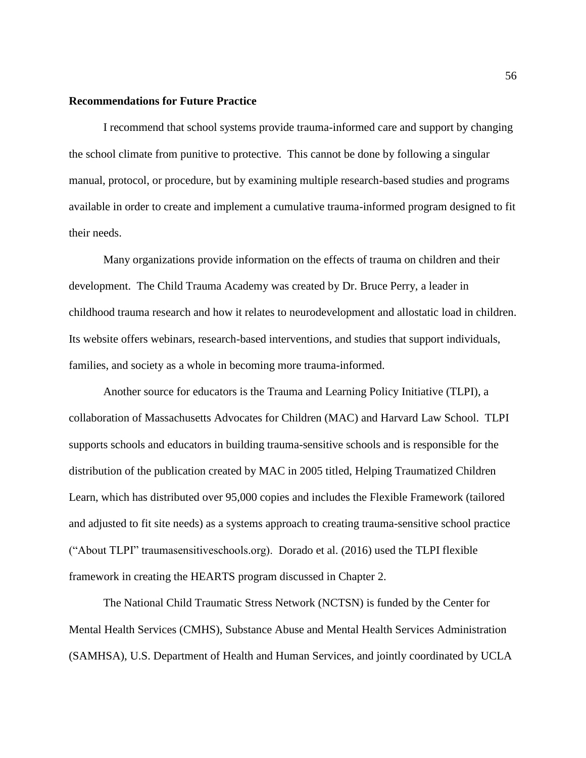#### **Recommendations for Future Practice**

I recommend that school systems provide trauma-informed care and support by changing the school climate from punitive to protective. This cannot be done by following a singular manual, protocol, or procedure, but by examining multiple research-based studies and programs available in order to create and implement a cumulative trauma-informed program designed to fit their needs.

Many organizations provide information on the effects of trauma on children and their development. The Child Trauma Academy was created by Dr. Bruce Perry, a leader in childhood trauma research and how it relates to neurodevelopment and allostatic load in children. Its website offers webinars, research-based interventions, and studies that support individuals, families, and society as a whole in becoming more trauma-informed.

Another source for educators is the Trauma and Learning Policy Initiative (TLPI), a collaboration of Massachusetts Advocates for Children (MAC) and Harvard Law School. TLPI supports schools and educators in building trauma-sensitive schools and is responsible for the distribution of the publication created by MAC in 2005 titled, Helping Traumatized Children Learn, which has distributed over 95,000 copies and includes the Flexible Framework (tailored and adjusted to fit site needs) as a systems approach to creating trauma-sensitive school practice ("About TLPI" traumasensitiveschools.org). Dorado et al. (2016) used the TLPI flexible framework in creating the HEARTS program discussed in Chapter 2.

The National Child Traumatic Stress Network (NCTSN) is funded by the Center for Mental Health Services (CMHS), Substance Abuse and Mental Health Services Administration (SAMHSA), U.S. Department of Health and Human Services, and jointly coordinated by UCLA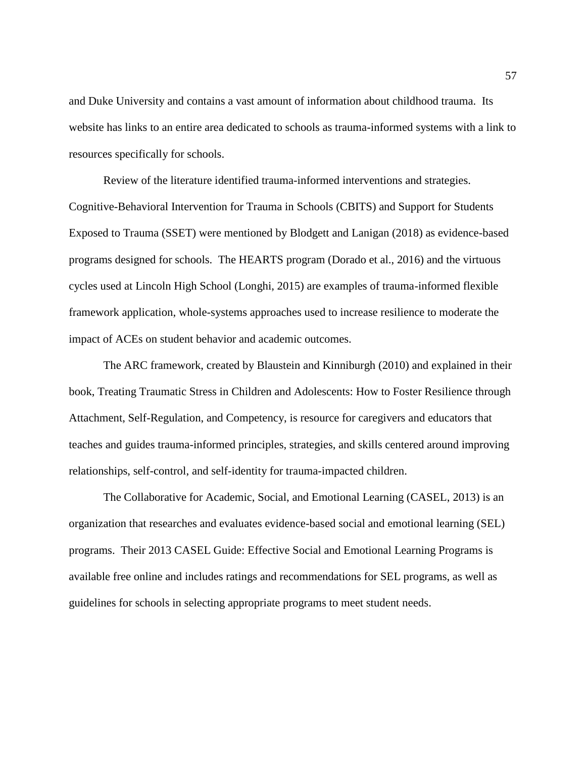and Duke University and contains a vast amount of information about childhood trauma. Its website has links to an entire area dedicated to schools as trauma-informed systems with a link to resources specifically for schools.

Review of the literature identified trauma-informed interventions and strategies. Cognitive-Behavioral Intervention for Trauma in Schools (CBITS) and Support for Students Exposed to Trauma (SSET) were mentioned by Blodgett and Lanigan (2018) as evidence-based programs designed for schools. The HEARTS program (Dorado et al., 2016) and the virtuous cycles used at Lincoln High School (Longhi, 2015) are examples of trauma-informed flexible framework application, whole-systems approaches used to increase resilience to moderate the impact of ACEs on student behavior and academic outcomes.

The ARC framework, created by Blaustein and Kinniburgh (2010) and explained in their book, Treating Traumatic Stress in Children and Adolescents: How to Foster Resilience through Attachment, Self-Regulation, and Competency, is resource for caregivers and educators that teaches and guides trauma-informed principles, strategies, and skills centered around improving relationships, self-control, and self-identity for trauma-impacted children.

The Collaborative for Academic, Social, and Emotional Learning (CASEL, 2013) is an organization that researches and evaluates evidence-based social and emotional learning (SEL) programs. Their 2013 CASEL Guide: Effective Social and Emotional Learning Programs is available free online and includes ratings and recommendations for SEL programs, as well as guidelines for schools in selecting appropriate programs to meet student needs.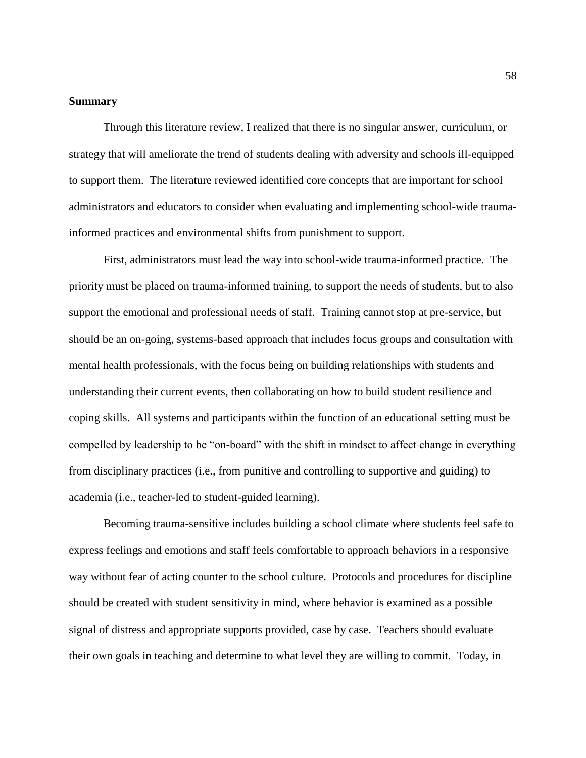#### **Summary**

Through this literature review, I realized that there is no singular answer, curriculum, or strategy that will ameliorate the trend of students dealing with adversity and schools ill-equipped to support them. The literature reviewed identified core concepts that are important for school administrators and educators to consider when evaluating and implementing school-wide traumainformed practices and environmental shifts from punishment to support.

First, administrators must lead the way into school-wide trauma-informed practice. The priority must be placed on trauma-informed training, to support the needs of students, but to also support the emotional and professional needs of staff. Training cannot stop at pre-service, but should be an on-going, systems-based approach that includes focus groups and consultation with mental health professionals, with the focus being on building relationships with students and understanding their current events, then collaborating on how to build student resilience and coping skills. All systems and participants within the function of an educational setting must be compelled by leadership to be "on-board" with the shift in mindset to affect change in everything from disciplinary practices (i.e., from punitive and controlling to supportive and guiding) to academia (i.e., teacher-led to student-guided learning).

Becoming trauma-sensitive includes building a school climate where students feel safe to express feelings and emotions and staff feels comfortable to approach behaviors in a responsive way without fear of acting counter to the school culture. Protocols and procedures for discipline should be created with student sensitivity in mind, where behavior is examined as a possible signal of distress and appropriate supports provided, case by case. Teachers should evaluate their own goals in teaching and determine to what level they are willing to commit. Today, in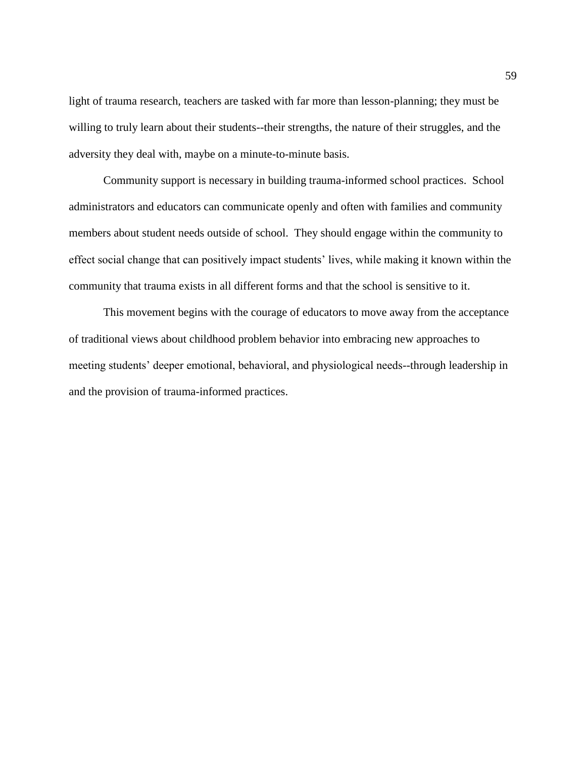light of trauma research, teachers are tasked with far more than lesson-planning; they must be willing to truly learn about their students--their strengths, the nature of their struggles, and the adversity they deal with, maybe on a minute-to-minute basis.

Community support is necessary in building trauma-informed school practices. School administrators and educators can communicate openly and often with families and community members about student needs outside of school. They should engage within the community to effect social change that can positively impact students' lives, while making it known within the community that trauma exists in all different forms and that the school is sensitive to it.

This movement begins with the courage of educators to move away from the acceptance of traditional views about childhood problem behavior into embracing new approaches to meeting students' deeper emotional, behavioral, and physiological needs--through leadership in and the provision of trauma-informed practices.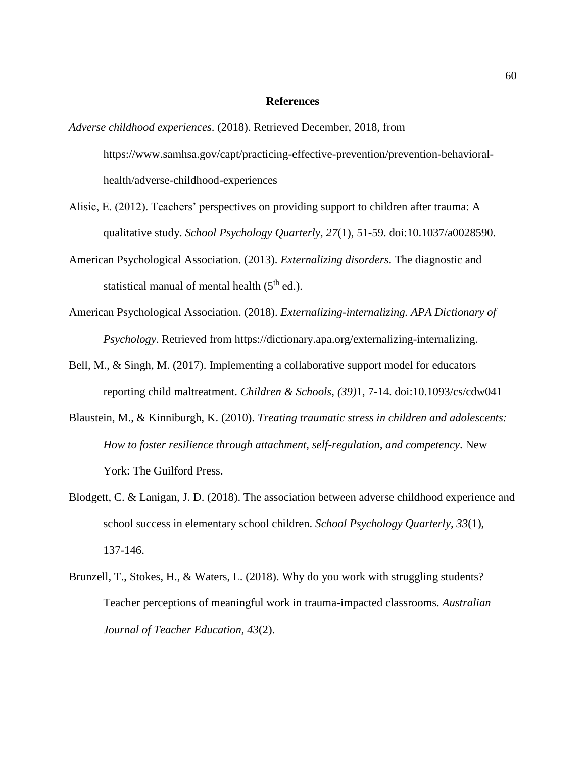#### **References**

- *Adverse childhood experiences*. (2018). Retrieved December, 2018, from [https://www.samhsa.gov/capt/practicing-effective-prevention/prevention-behavioral](https://www.samhsa.gov/capt/practicing-effective-prevention/prevention-behavioral-)health/adverse-childhood-experiences
- Alisic, E. (2012). Teachers' perspectives on providing support to children after trauma: A qualitative study. *School Psychology Quarterly, 27*(1), 51-59. doi:10.1037/a0028590.
- American Psychological Association. (2013). *Externalizing disorders*. The diagnostic and statistical manual of mental health  $(5<sup>th</sup>$  ed.).
- American Psychological Association. (2018). *Externalizing-internalizing. APA Dictionary of Psychology*. Retrieved from https://dictionary.apa.org/externalizing-internalizing.
- Bell, M., & Singh, M. (2017). Implementing a collaborative support model for educators reporting child maltreatment. *Children & Schools, (39)*1, 7-14. doi:10.1093/cs/cdw041
- Blaustein, M., & Kinniburgh, K. (2010). *Treating traumatic stress in children and adolescents: How to foster resilience through attachment, self-regulation, and competency*. New York: The Guilford Press.
- Blodgett, C. & Lanigan, J. D. (2018). The association between adverse childhood experience and school success in elementary school children. *School Psychology Quarterly, 33*(1), 137-146.
- Brunzell, T., Stokes, H., & Waters, L. (2018). Why do you work with struggling students? Teacher perceptions of meaningful work in trauma-impacted classrooms. *Australian Journal of Teacher Education, 43*(2).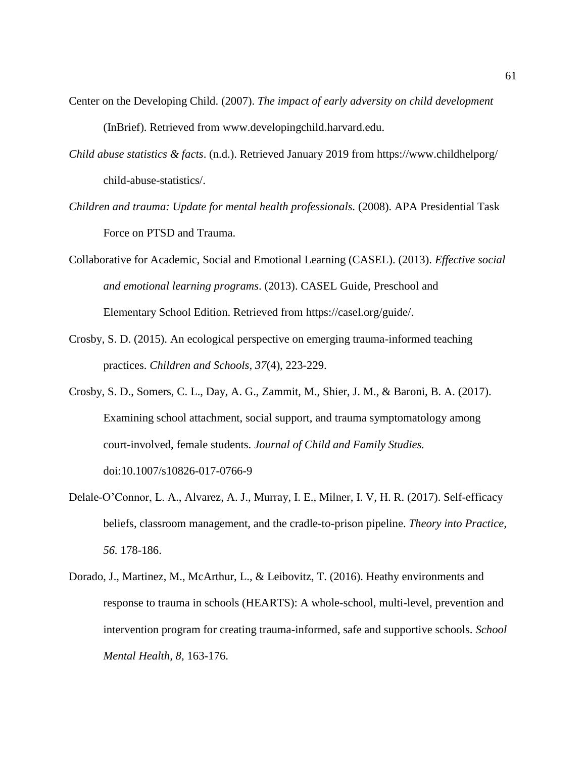- Center on the Developing Child. (2007). *The impact of early adversity on child development* (InBrief). Retrieved from [www.developingchild.harvard.edu.](https://developingchild.harvard.edu/)
- *Child abuse statistics & facts*. (n.d.). Retrieved January 2019 from [https://www.childh](https://www.child/)elporg/ child-abuse-statistics/.
- *Children and trauma: Update for mental health professionals.* (2008). APA Presidential Task Force on PTSD and Trauma.
- Collaborative for Academic, Social and Emotional Learning (CASEL). (2013). *Effective social and emotional learning programs*. (2013). CASEL Guide, Preschool and Elementary School Edition. Retrieved from [https://casel.org/guide/.](https://casel.org/guide/)
- Crosby, S. D. (2015). An ecological perspective on emerging trauma-informed teaching practices. *Children and Schools, 37*(4), 223-229.
- Crosby, S. D., Somers, C. L., Day, A. G., Zammit, M., Shier, J. M., & Baroni, B. A. (2017). Examining school attachment, social support, and trauma symptomatology among court-involved, female students. *Journal of Child and Family Studies.*  doi:10.1007/s10826-017-0766-9
- Delale-O'Connor, L. A., Alvarez, A. J., Murray, I. E., Milner, I. V, H. R. (2017). Self-efficacy beliefs, classroom management, and the cradle-to-prison pipeline. *Theory into Practice, 56.* 178-186.
- Dorado, J., Martinez, M., McArthur, L., & Leibovitz, T. (2016). Heathy environments and response to trauma in schools (HEARTS): A whole-school, multi-level, prevention and intervention program for creating trauma-informed, safe and supportive schools. *School Mental Health, 8,* 163-176.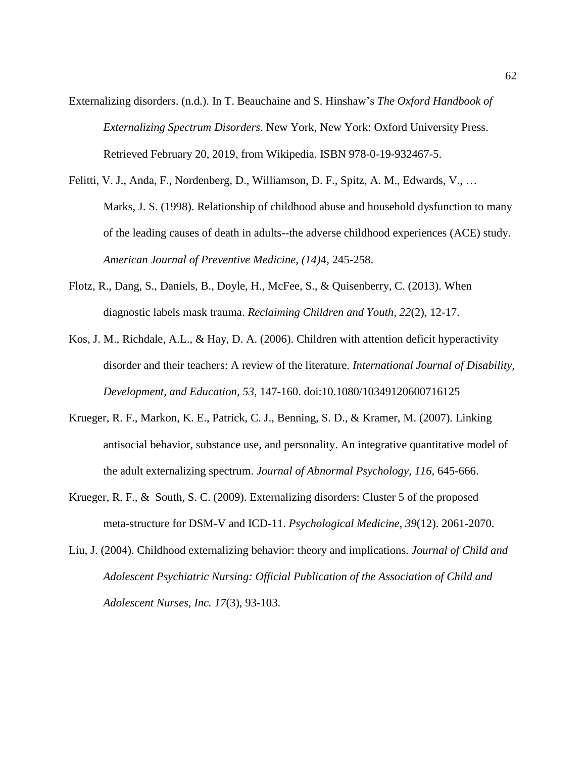- Externalizing disorders. (n.d.). In T. Beauchaine and S. Hinshaw's *The Oxford Handbook of Externalizing Spectrum Disorders*. New York, New York: Oxford University Press. Retrieved February 20, 2019, from Wikipedia. ISBN 978-0-19-932467-5.
- Felitti, V. J., Anda, F., Nordenberg, D., Williamson, D. F., Spitz, A. M., Edwards, V., … Marks, J. S. (1998). Relationship of childhood abuse and household dysfunction to many of the leading causes of death in adults--the adverse childhood experiences (ACE) study. *American Journal of Preventive Medicine, (14)*4, 245-258.
- Flotz, R., Dang, S., Daniels, B., Doyle, H., McFee, S., & Quisenberry, C. (2013). When diagnostic labels mask trauma. *Reclaiming Children and Youth, 22*(2), 12-17.
- Kos, J. M., Richdale, A.L., & Hay, D. A. (2006). Children with attention deficit hyperactivity disorder and their teachers: A review of the literature. *International Journal of Disability, Development, and Education, 53,* 147-160. doi:10.1080/10349120600716125
- Krueger, R. F., Markon, K. E., Patrick, C. J., Benning, S. D., & Kramer, M. (2007). Linking antisocial behavior, substance use, and personality. An integrative quantitative model of the adult externalizing spectrum. *Journal of Abnormal Psychology, 116*, 645-666.
- Krueger, R. F., & South, S. C. (2009). Externalizing disorders: Cluster 5 of the proposed meta-structure for DSM-V and ICD-11. *Psychological Medicine, 39*(12). 2061-2070.
- Liu, J. (2004). Childhood externalizing behavior: theory and implications. *Journal of Child and Adolescent Psychiatric Nursing: Official Publication of the Association of Child and Adolescent Nurses, Inc. 17*(3), 93-103.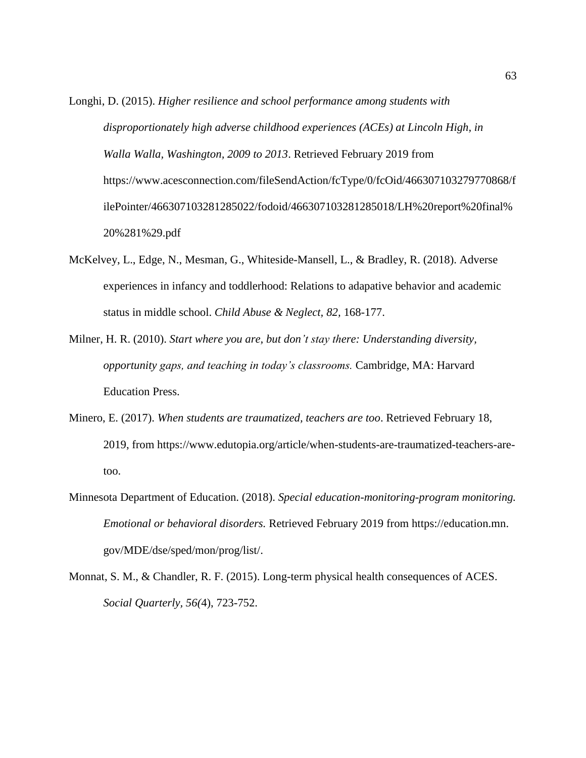- Longhi, D. (2015). *Higher resilience and school performance among students with disproportionately high adverse childhood experiences (ACEs) at Lincoln High, in Walla Walla, Washington, 2009 to 2013*. Retrieved February 2019 from <https://www.acesconnection.com/fileSendAction/fcType/0/fcOid/466307103279770868/f> ilePointer/466307103281285022/fodoid/466307103281285018/LH%20report%20final% 20%281%29.pdf
- McKelvey, L., Edge, N., Mesman, G., Whiteside-Mansell, L., & Bradley, R. (2018). Adverse experiences in infancy and toddlerhood: Relations to adapative behavior and academic status in middle school. *Child Abuse & Neglect, 82,* 168-177.
- Milner, H. R. (2010). *Start where you are, but don't stay there: Understanding diversity, opportunity gaps, and teaching in today's classrooms.* Cambridge, MA: Harvard Education Press.
- Minero, E. (2017). *When students are traumatized, teachers are too*. Retrieved February 18, 2019, from [https://www.edutopia.org/article/when-students-are-traumatized-t](https://www.edutopia.org/article/when-students-are-traumatized-)eachers-aretoo.
- Minnesota Department of Education. (2018). *Special education-monitoring-program monitoring. Emotional or behavioral disorders.* Retrieved February 2019 from [https://education.mn.](https://education.mn/) gov/MDE/dse/sped/mon/prog/list/.
- Monnat, S. M., & Chandler, R. F. (2015). Long-term physical health consequences of ACES. *Social Quarterly, 56(*4), 723-752.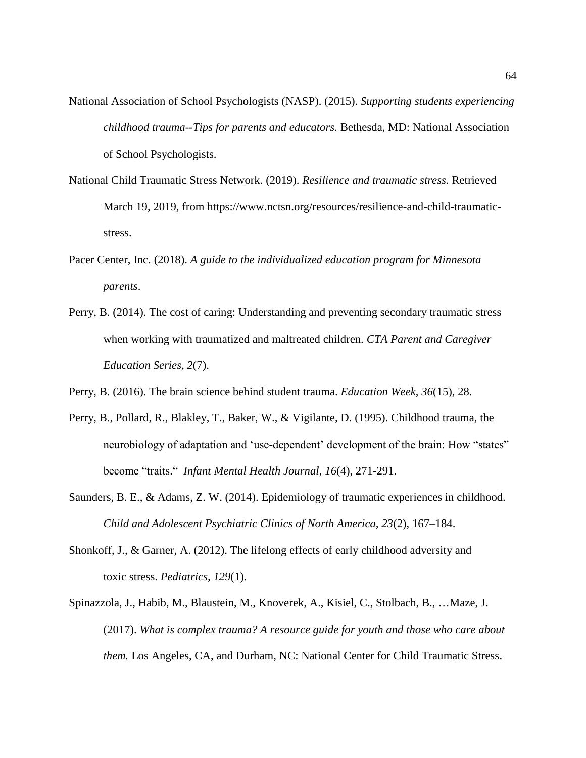- National Association of School Psychologists (NASP). (2015). *Supporting students experiencing childhood trauma--Tips for parents and educators.* Bethesda, MD: National Association of School Psychologists.
- National Child Traumatic Stress Network. (2019). *Resilience and traumatic stress.* Retrieved March 19, 2019, from [https://www.nctsn.org/resources/resilience-and-child-traumatic](https://www.nctsn.org/resources/resilience-and-child-traumatic-)stress.
- Pacer Center, Inc. (2018). *A guide to the individualized education program for Minnesota parents*.
- Perry, B. (2014). The cost of caring: Understanding and preventing secondary traumatic stress when working with traumatized and maltreated children. *CTA Parent and Caregiver Education Series, 2*(7).
- Perry, B. (2016). The brain science behind student trauma. *Education Week, 36*(15), 28.
- Perry, B., Pollard, R., Blakley, T., Baker, W., & Vigilante, D. (1995). Childhood trauma, the neurobiology of adaptation and 'use-dependent' development of the brain: How "states" become "traits." *Infant Mental Health Journal*, *16*(4), 271-291.
- Saunders, B. E., & Adams, Z. W. (2014). Epidemiology of traumatic experiences in childhood. *Child and Adolescent Psychiatric Clinics of North America, 23*(2), 167–184.
- Shonkoff, J., & Garner, A. (2012). The lifelong effects of early childhood adversity and toxic stress. *Pediatrics, 129*(1).
- Spinazzola, J., Habib, M., Blaustein, M., Knoverek, A., Kisiel, C., Stolbach, B., …Maze, J. (2017). *What is complex trauma? A resource guide for youth and those who care about them.* Los Angeles, CA, and Durham, NC: National Center for Child Traumatic Stress.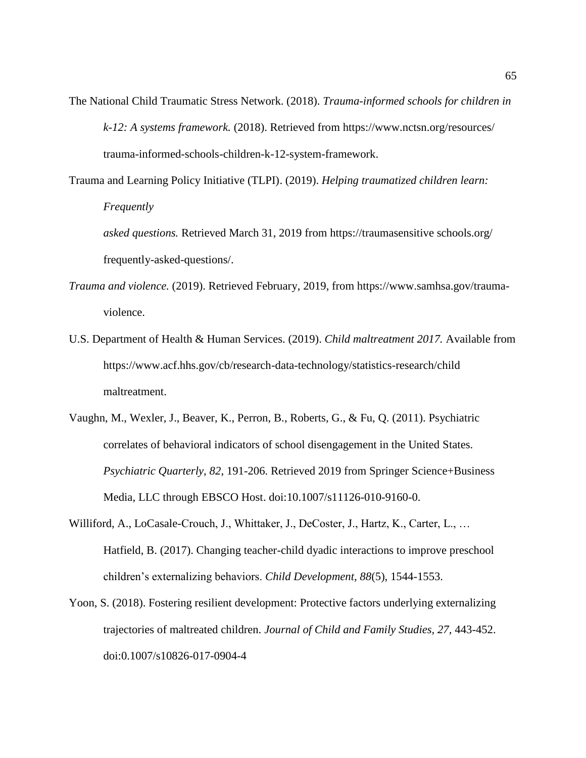The National Child Traumatic Stress Network. (2018). *Trauma-informed schools for children in k-12: A systems framework.* (2018). Retrieved from [https://www.nctsn.org/resources/](https://www.nctsn.org/resources/%20trauma-informed-schools-children-k-12-system-)  [trauma-informed-schools-children-k-12-system-f](https://www.nctsn.org/resources/%20trauma-informed-schools-children-k-12-system-)ramework.

Trauma and Learning Policy Initiative (TLPI). (2019). *Helping traumatized children learn: Frequently* 

*asked questions.* Retrieved March 31, 2019 from https://traumasensitive schools.org/ frequently-asked-questions/.

- *Trauma and violence.* (2019). Retrieved February, 2019, from [https://www.samhsa.gov/trauma](https://www.samhsa.gov/trauma-)violence.
- U.S. Department of Health & Human Services. (2019). *Child maltreatment 2017.* Available from <https://www.acf.hhs.gov/cb/research-data-technology/statistics-research/child> maltreatment.
- Vaughn, M., Wexler, J., Beaver, K., Perron, B., Roberts, G., & Fu, Q. (2011). Psychiatric correlates of behavioral indicators of school disengagement in the United States. *Psychiatric Quarterly, 82*, 191-206. Retrieved 2019 from Springer Science+Business Media, LLC through EBSCO Host. doi:10.1007/s11126-010-9160-0.
- Williford, A., LoCasale-Crouch, J., Whittaker, J., DeCoster, J., Hartz, K., Carter, L., … Hatfield, B. (2017). Changing teacher-child dyadic interactions to improve preschool children's externalizing behaviors. *Child Development, 88*(5), 1544-1553.
- Yoon, S. (2018). Fostering resilient development: Protective factors underlying externalizing trajectories of maltreated children. *Journal of Child and Family Studies, 27,* 443-452. doi:0.1007/s10826-017-0904-4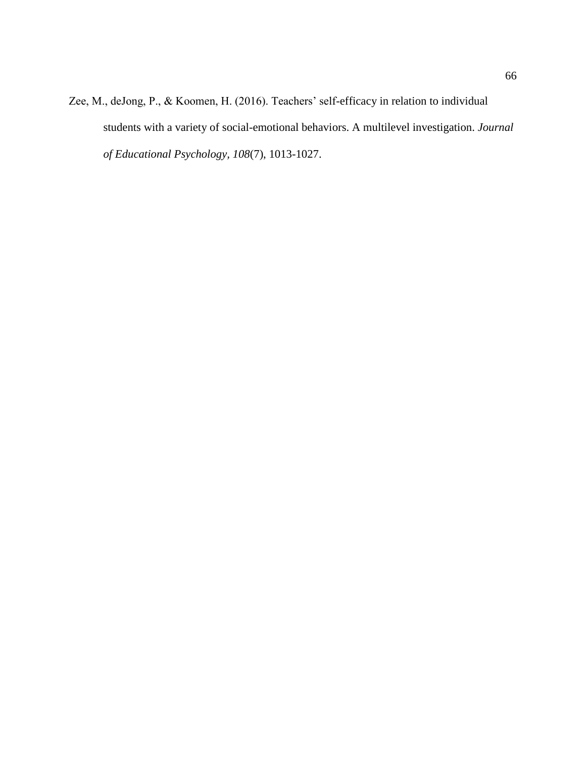Zee, M., deJong, P., & Koomen, H. (2016). Teachers' self-efficacy in relation to individual students with a variety of social-emotional behaviors. A multilevel investigation. *Journal of Educational Psychology, 108*(7), 1013-1027.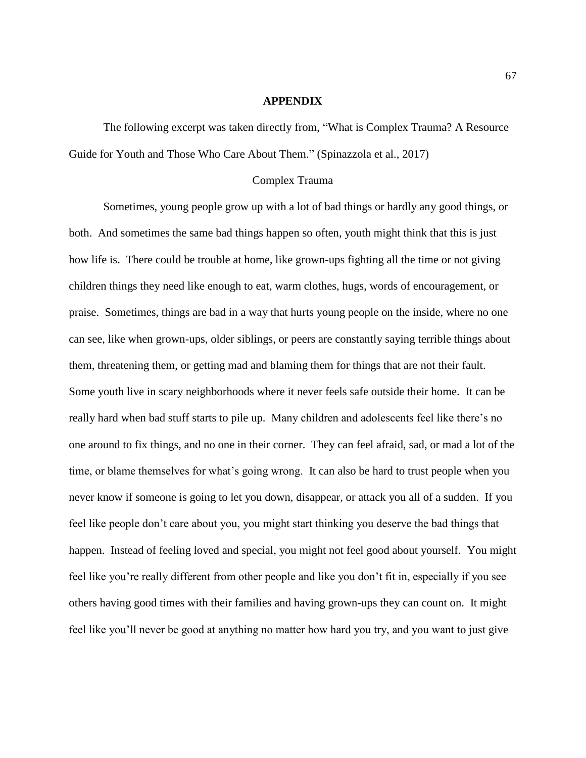#### **APPENDIX**

The following excerpt was taken directly from, "What is Complex Trauma? A Resource Guide for Youth and Those Who Care About Them." (Spinazzola et al., 2017)

#### Complex Trauma

Sometimes, young people grow up with a lot of bad things or hardly any good things, or both. And sometimes the same bad things happen so often, youth might think that this is just how life is. There could be trouble at home, like grown-ups fighting all the time or not giving children things they need like enough to eat, warm clothes, hugs, words of encouragement, or praise. Sometimes, things are bad in a way that hurts young people on the inside, where no one can see, like when grown-ups, older siblings, or peers are constantly saying terrible things about them, threatening them, or getting mad and blaming them for things that are not their fault. Some youth live in scary neighborhoods where it never feels safe outside their home. It can be really hard when bad stuff starts to pile up. Many children and adolescents feel like there's no one around to fix things, and no one in their corner. They can feel afraid, sad, or mad a lot of the time, or blame themselves for what's going wrong. It can also be hard to trust people when you never know if someone is going to let you down, disappear, or attack you all of a sudden. If you feel like people don't care about you, you might start thinking you deserve the bad things that happen. Instead of feeling loved and special, you might not feel good about yourself. You might feel like you're really different from other people and like you don't fit in, especially if you see others having good times with their families and having grown-ups they can count on. It might feel like you'll never be good at anything no matter how hard you try, and you want to just give